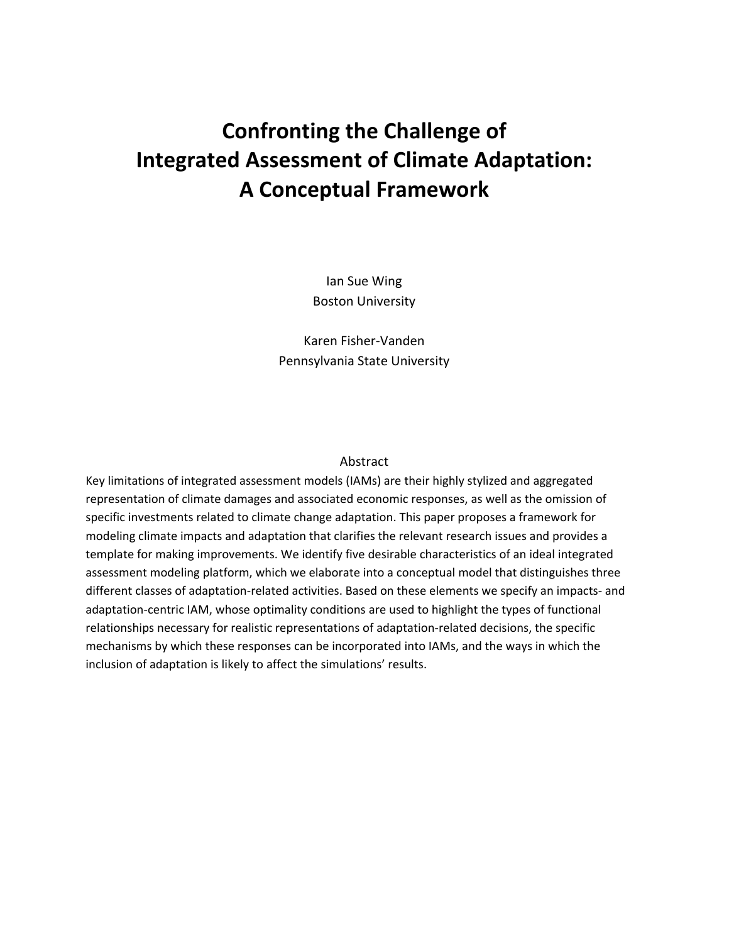# **Confronting the Challenge of Integrated Assessment of Climate Adaptation: A Conceptual Framework**

Ian Sue Wing Boston University

Karen Fisher-Vanden Pennsylvania State University

# Abstract

Key limitations of integrated assessment models (IAMs) are their highly stylized and aggregated representation of climate damages and associated economic responses, as well as the omission of specific investments related to climate change adaptation. This paper proposes a framework for modeling climate impacts and adaptation that clarifies the relevant research issues and provides a template for making improvements. We identify five desirable characteristics of an ideal integrated assessment modeling platform, which we elaborate into a conceptual model that distinguishes three different classes of adaptation-related activities. Based on these elements we specify an impacts- and adaptation-centric IAM, whose optimality conditions are used to highlight the types of functional relationships necessary for realistic representations of adaptation-related decisions, the specific mechanisms by which these responses can be incorporated into IAMs, and the ways in which the inclusion of adaptation is likely to affect the simulations' results.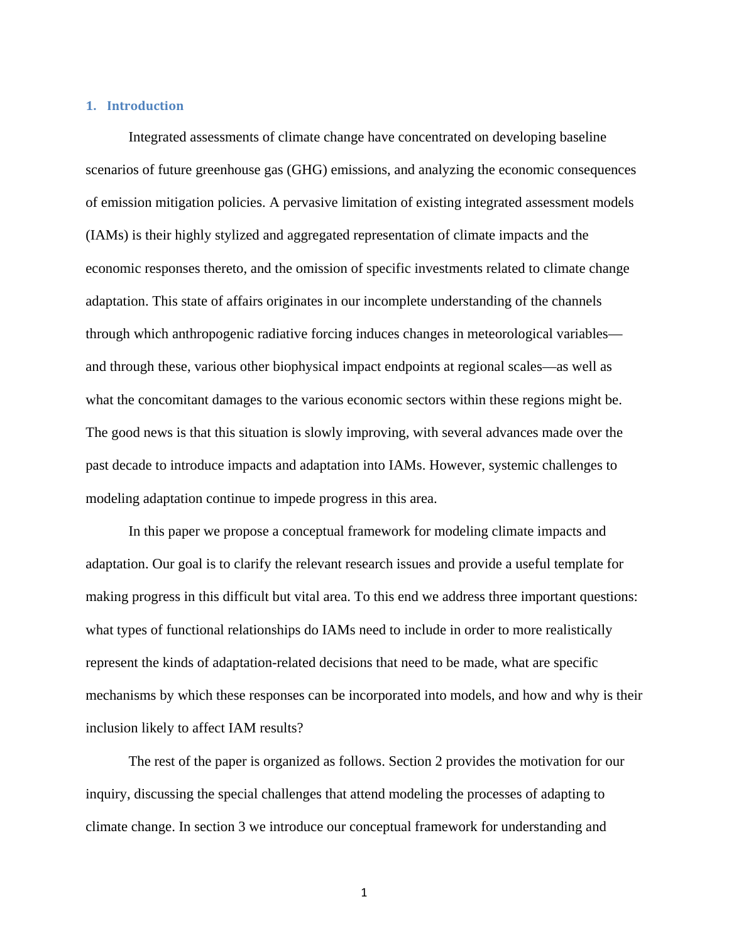# **1. Introduction**

Integrated assessments of climate change have concentrated on developing baseline scenarios of future greenhouse gas (GHG) emissions, and analyzing the economic consequences of emission mitigation policies. A pervasive limitation of existing integrated assessment models (IAMs) is their highly stylized and aggregated representation of climate impacts and the economic responses thereto, and the omission of specific investments related to climate change adaptation. This state of affairs originates in our incomplete understanding of the channels through which anthropogenic radiative forcing induces changes in meteorological variables and through these, various other biophysical impact endpoints at regional scales—as well as what the concomitant damages to the various economic sectors within these regions might be. The good news is that this situation is slowly improving, with several advances made over the past decade to introduce impacts and adaptation into IAMs. However, systemic challenges to modeling adaptation continue to impede progress in this area.

In this paper we propose a conceptual framework for modeling climate impacts and adaptation. Our goal is to clarify the relevant research issues and provide a useful template for making progress in this difficult but vital area. To this end we address three important questions: what types of functional relationships do IAMs need to include in order to more realistically represent the kinds of adaptation-related decisions that need to be made, what are specific mechanisms by which these responses can be incorporated into models, and how and why is their inclusion likely to affect IAM results?

The rest of the paper is organized as follows. Section 2 provides the motivation for our inquiry, discussing the special challenges that attend modeling the processes of adapting to climate change. In section 3 we introduce our conceptual framework for understanding and

1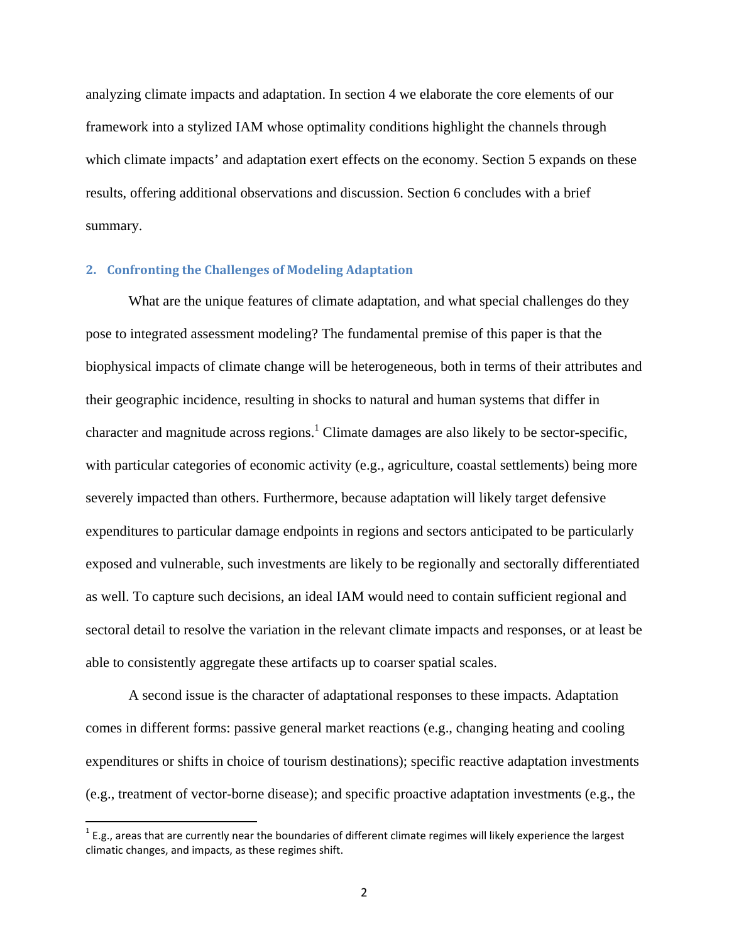analyzing climate impacts and adaptation. In section 4 we elaborate the core elements of our framework into a stylized IAM whose optimality conditions highlight the channels through which climate impacts' and adaptation exert effects on the economy. Section 5 expands on these results, offering additional observations and discussion. Section 6 concludes with a brief summary.

# **2. Confronting the Challenges of Modeling Adaptation**

What are the unique features of climate adaptation, and what special challenges do they pose to integrated assessment modeling? The fundamental premise of this paper is that the biophysical impacts of climate change will be heterogeneous, both in terms of their attributes and their geographic incidence, resulting in shocks to natural and human systems that differ in character and magnitude across regions.<sup>1</sup> Climate damages are also likely to be sector-specific, with particular categories of economic activity (e.g., agriculture, coastal settlements) being more severely impacted than others. Furthermore, because adaptation will likely target defensive expenditures to particular damage endpoints in regions and sectors anticipated to be particularly exposed and vulnerable, such investments are likely to be regionally and sectorally differentiated as well. To capture such decisions, an ideal IAM would need to contain sufficient regional and sectoral detail to resolve the variation in the relevant climate impacts and responses, or at least be able to consistently aggregate these artifacts up to coarser spatial scales.

A second issue is the character of adaptational responses to these impacts. Adaptation comes in different forms: passive general market reactions (e.g., changing heating and cooling expenditures or shifts in choice of tourism destinations); specific reactive adaptation investments (e.g., treatment of vector-borne disease); and specific proactive adaptation investments (e.g., the

 $\overline{a}$ 

 $1$  E.g., areas that are currently near the boundaries of different climate regimes will likely experience the largest climatic changes, and impacts, as these regimes shift.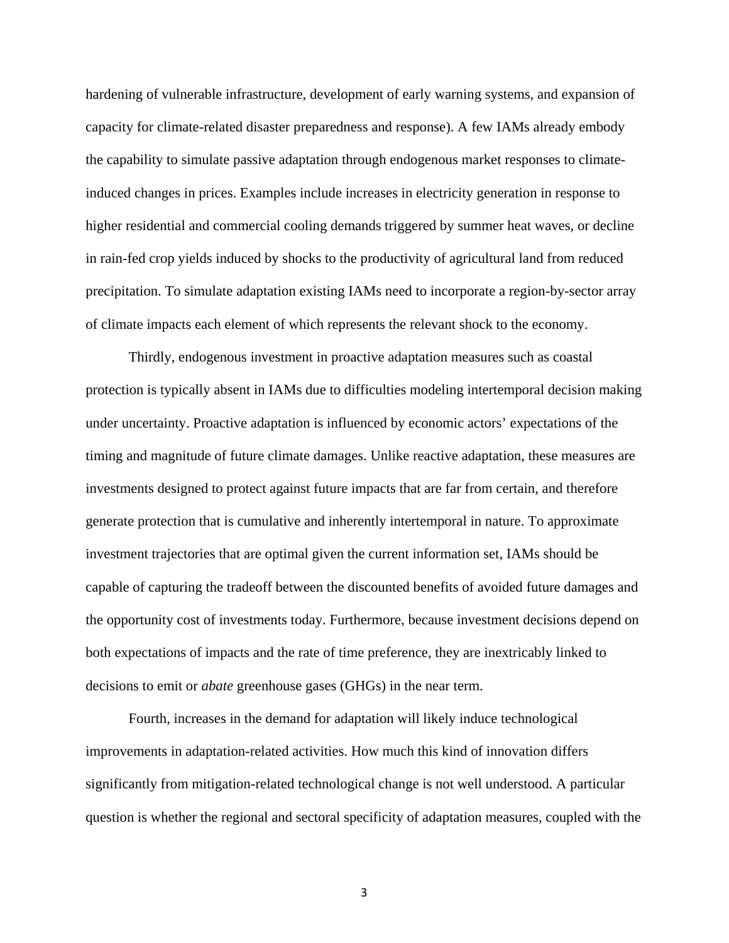hardening of vulnerable infrastructure, development of early warning systems, and expansion of capacity for climate-related disaster preparedness and response). A few IAMs already embody the capability to simulate passive adaptation through endogenous market responses to climateinduced changes in prices. Examples include increases in electricity generation in response to higher residential and commercial cooling demands triggered by summer heat waves, or decline in rain-fed crop yields induced by shocks to the productivity of agricultural land from reduced precipitation. To simulate adaptation existing IAMs need to incorporate a region-by-sector array of climate impacts each element of which represents the relevant shock to the economy.

Thirdly, endogenous investment in proactive adaptation measures such as coastal protection is typically absent in IAMs due to difficulties modeling intertemporal decision making under uncertainty. Proactive adaptation is influenced by economic actors' expectations of the timing and magnitude of future climate damages. Unlike reactive adaptation, these measures are investments designed to protect against future impacts that are far from certain, and therefore generate protection that is cumulative and inherently intertemporal in nature. To approximate investment trajectories that are optimal given the current information set, IAMs should be capable of capturing the tradeoff between the discounted benefits of avoided future damages and the opportunity cost of investments today. Furthermore, because investment decisions depend on both expectations of impacts and the rate of time preference, they are inextricably linked to decisions to emit or *abate* greenhouse gases (GHGs) in the near term.

Fourth, increases in the demand for adaptation will likely induce technological improvements in adaptation-related activities. How much this kind of innovation differs significantly from mitigation-related technological change is not well understood. A particular question is whether the regional and sectoral specificity of adaptation measures, coupled with the

3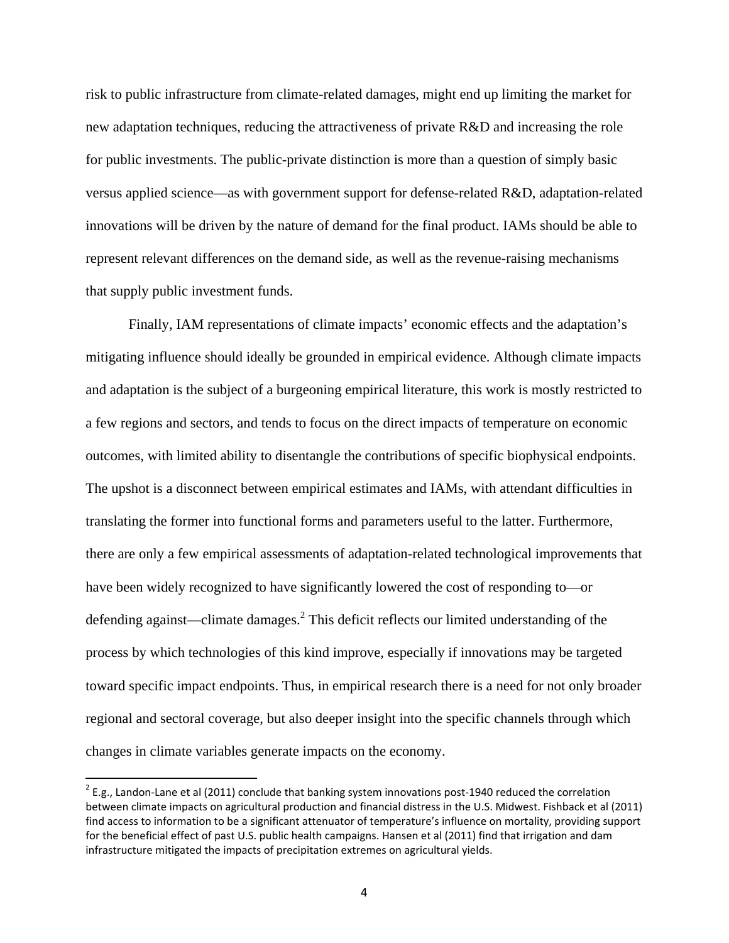risk to public infrastructure from climate-related damages, might end up limiting the market for new adaptation techniques, reducing the attractiveness of private R&D and increasing the role for public investments. The public-private distinction is more than a question of simply basic versus applied science—as with government support for defense-related R&D, adaptation-related innovations will be driven by the nature of demand for the final product. IAMs should be able to represent relevant differences on the demand side, as well as the revenue-raising mechanisms that supply public investment funds.

Finally, IAM representations of climate impacts' economic effects and the adaptation's mitigating influence should ideally be grounded in empirical evidence. Although climate impacts and adaptation is the subject of a burgeoning empirical literature, this work is mostly restricted to a few regions and sectors, and tends to focus on the direct impacts of temperature on economic outcomes, with limited ability to disentangle the contributions of specific biophysical endpoints. The upshot is a disconnect between empirical estimates and IAMs, with attendant difficulties in translating the former into functional forms and parameters useful to the latter. Furthermore, there are only a few empirical assessments of adaptation-related technological improvements that have been widely recognized to have significantly lowered the cost of responding to—or defending against—climate damages.<sup>2</sup> This deficit reflects our limited understanding of the process by which technologies of this kind improve, especially if innovations may be targeted toward specific impact endpoints. Thus, in empirical research there is a need for not only broader regional and sectoral coverage, but also deeper insight into the specific channels through which changes in climate variables generate impacts on the economy.

 $\overline{\phantom{a}}$ 

 $2$  E.g., Landon-Lane et al (2011) conclude that banking system innovations post-1940 reduced the correlation between climate impacts on agricultural production and financial distress in the U.S. Midwest. Fishback et al (2011) find access to information to be a significant attenuator of temperature's influence on mortality, providing support for the beneficial effect of past U.S. public health campaigns. Hansen et al (2011) find that irrigation and dam infrastructure mitigated the impacts of precipitation extremes on agricultural yields.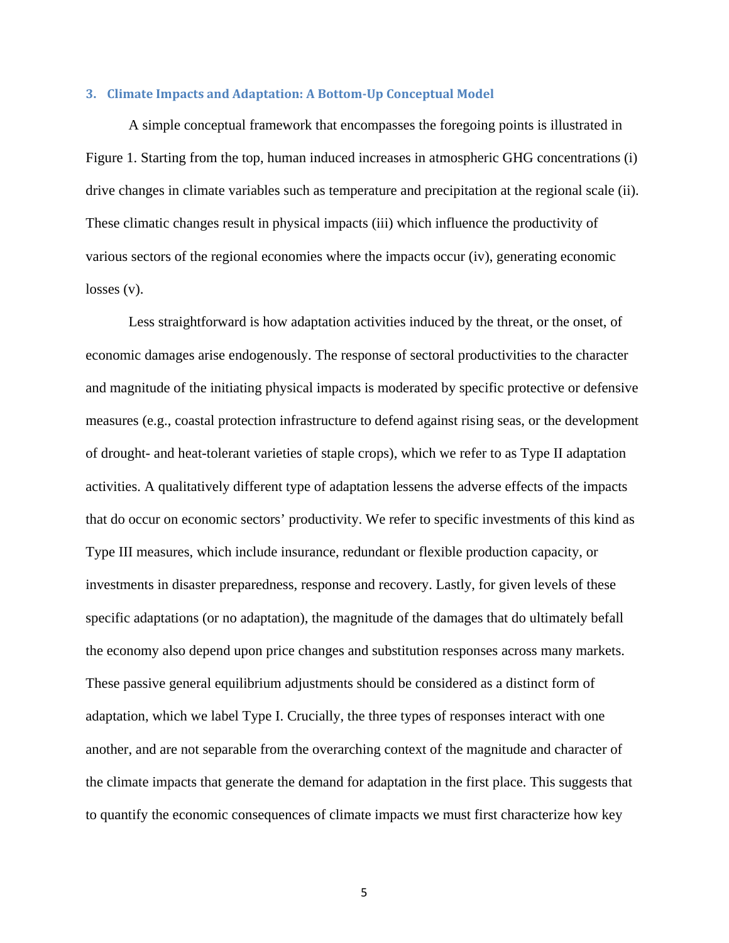#### **3. Climate Impacts and Adaptation: A Bottom-Up Conceptual Model**

A simple conceptual framework that encompasses the foregoing points is illustrated in Figure 1. Starting from the top, human induced increases in atmospheric GHG concentrations (i) drive changes in climate variables such as temperature and precipitation at the regional scale (ii). These climatic changes result in physical impacts (iii) which influence the productivity of various sectors of the regional economies where the impacts occur (iv), generating economic losses (v).

Less straightforward is how adaptation activities induced by the threat, or the onset, of economic damages arise endogenously. The response of sectoral productivities to the character and magnitude of the initiating physical impacts is moderated by specific protective or defensive measures (e.g., coastal protection infrastructure to defend against rising seas, or the development of drought- and heat-tolerant varieties of staple crops), which we refer to as Type II adaptation activities. A qualitatively different type of adaptation lessens the adverse effects of the impacts that do occur on economic sectors' productivity. We refer to specific investments of this kind as Type III measures, which include insurance, redundant or flexible production capacity, or investments in disaster preparedness, response and recovery. Lastly, for given levels of these specific adaptations (or no adaptation), the magnitude of the damages that do ultimately befall the economy also depend upon price changes and substitution responses across many markets. These passive general equilibrium adjustments should be considered as a distinct form of adaptation, which we label Type I. Crucially, the three types of responses interact with one another, and are not separable from the overarching context of the magnitude and character of the climate impacts that generate the demand for adaptation in the first place. This suggests that to quantify the economic consequences of climate impacts we must first characterize how key

5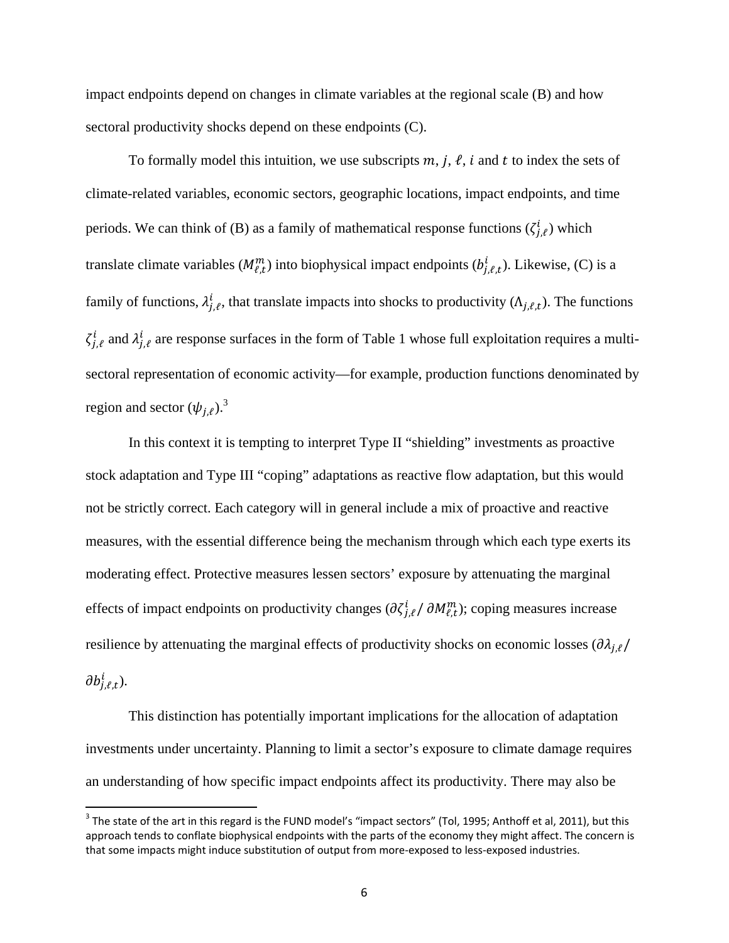impact endpoints depend on changes in climate variables at the regional scale (B) and how sectoral productivity shocks depend on these endpoints (C).

To formally model this intuition, we use subscripts  $m$ ,  $j$ ,  $\ell$ ,  $i$  and  $t$  to index the sets of climate-related variables, economic sectors, geographic locations, impact endpoints, and time periods. We can think of (B) as a family of mathematical response functions  $(\zeta_{j,\ell}^i)$  which translate climate variables  $(M_{\ell,t}^m)$  into biophysical impact endpoints  $(b_{j,\ell,t}^i)$ . Likewise, (C) is a family of functions,  $\lambda_{j,\ell}^i$ , that translate impacts into shocks to productivity  $(\Lambda_{j,\ell,t})$ . The functions  $\zeta_{j,\ell}^i$  and  $\lambda_{j,\ell}^i$  are response surfaces in the form of Table 1 whose full exploitation requires a multisectoral representation of economic activity—for example, production functions denominated by region and sector  $(\psi_{j,\ell})$ .<sup>3</sup>

In this context it is tempting to interpret Type II "shielding" investments as proactive stock adaptation and Type III "coping" adaptations as reactive flow adaptation, but this would not be strictly correct. Each category will in general include a mix of proactive and reactive measures, with the essential difference being the mechanism through which each type exerts its moderating effect. Protective measures lessen sectors' exposure by attenuating the marginal effects of impact endpoints on productivity changes  $(\partial \zeta_{j,\ell}^i / \partial M_{\ell,t}^m)$ ; coping measures increase resilience by attenuating the marginal effects of productivity shocks on economic losses  $(\partial \lambda_{i,\ell})$  $\partial b^i_{j,\ell,t}$ ).

This distinction has potentially important implications for the allocation of adaptation investments under uncertainty. Planning to limit a sector's exposure to climate damage requires an understanding of how specific impact endpoints affect its productivity. There may also be

<sup>&</sup>lt;u>and the state of the art in this regard is the FUND model's "impact sectors" (Tol, 1995; Anthoff et al, 2011), but this and The state of the art in this regard is the FUND model's "impact sectors" (Tol, 1995; Anthoff et a</u> approach tends to conflate biophysical endpoints with the parts of the economy they might affect. The concern is that some impacts might induce substitution of output from more-exposed to less-exposed industries.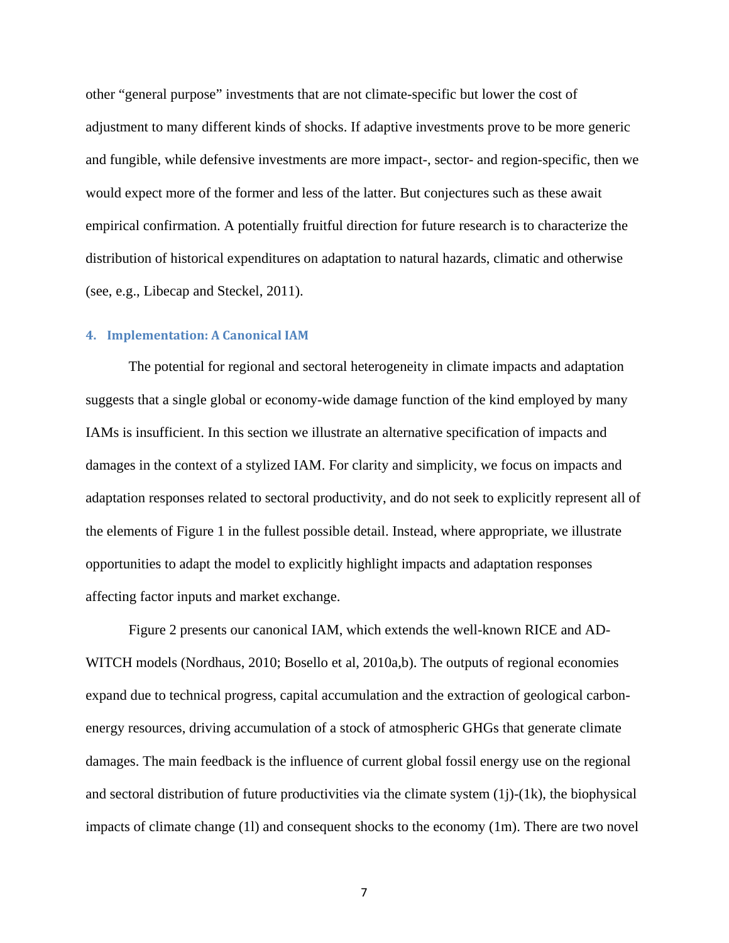other "general purpose" investments that are not climate-specific but lower the cost of adjustment to many different kinds of shocks. If adaptive investments prove to be more generic and fungible, while defensive investments are more impact-, sector- and region-specific, then we would expect more of the former and less of the latter. But conjectures such as these await empirical confirmation. A potentially fruitful direction for future research is to characterize the distribution of historical expenditures on adaptation to natural hazards, climatic and otherwise (see, e.g., Libecap and Steckel, 2011).

## **4. Implementation: A Canonical IAM**

The potential for regional and sectoral heterogeneity in climate impacts and adaptation suggests that a single global or economy-wide damage function of the kind employed by many IAMs is insufficient. In this section we illustrate an alternative specification of impacts and damages in the context of a stylized IAM. For clarity and simplicity, we focus on impacts and adaptation responses related to sectoral productivity, and do not seek to explicitly represent all of the elements of Figure 1 in the fullest possible detail. Instead, where appropriate, we illustrate opportunities to adapt the model to explicitly highlight impacts and adaptation responses affecting factor inputs and market exchange.

Figure 2 presents our canonical IAM, which extends the well-known RICE and AD-WITCH models (Nordhaus, 2010; Bosello et al, 2010a,b). The outputs of regional economies expand due to technical progress, capital accumulation and the extraction of geological carbonenergy resources, driving accumulation of a stock of atmospheric GHGs that generate climate damages. The main feedback is the influence of current global fossil energy use on the regional and sectoral distribution of future productivities via the climate system  $(1j)-(1k)$ , the biophysical impacts of climate change (1l) and consequent shocks to the economy (1m). There are two novel

7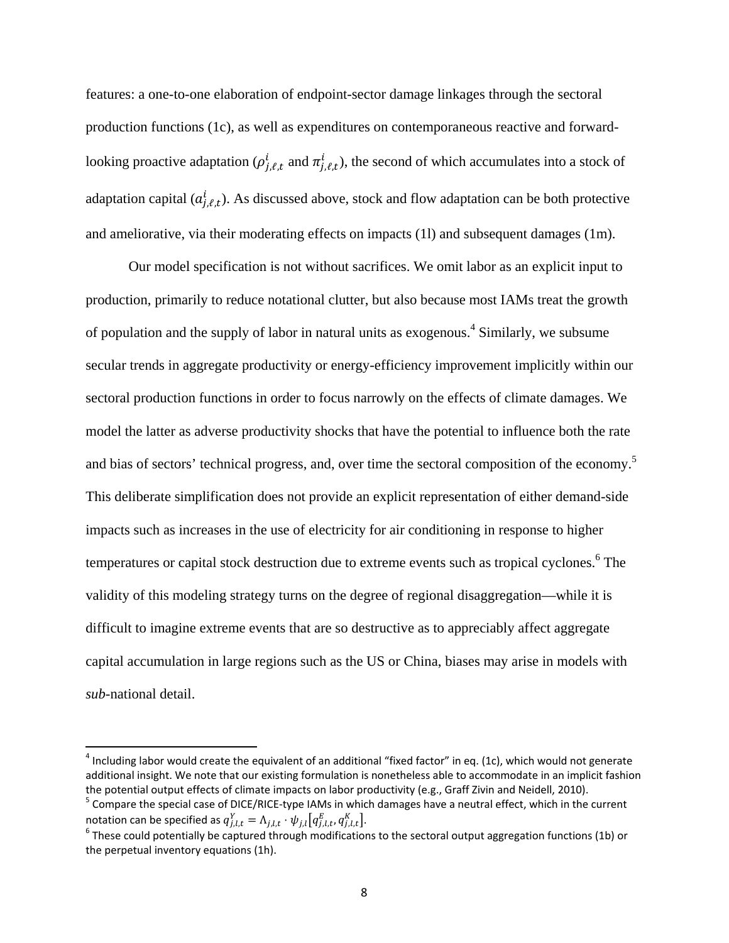features: a one-to-one elaboration of endpoint-sector damage linkages through the sectoral production functions (1c), as well as expenditures on contemporaneous reactive and forwardlooking proactive adaptation ( $\rho_{j,\ell,t}^i$  and  $\pi_{j,\ell,t}^i$ ), the second of which accumulates into a stock of adaptation capital  $(a_{j,\ell,t}^i)$ . As discussed above, stock and flow adaptation can be both protective and ameliorative, via their moderating effects on impacts (1l) and subsequent damages (1m).

Our model specification is not without sacrifices. We omit labor as an explicit input to production, primarily to reduce notational clutter, but also because most IAMs treat the growth of population and the supply of labor in natural units as exogenous.<sup>4</sup> Similarly, we subsume secular trends in aggregate productivity or energy-efficiency improvement implicitly within our sectoral production functions in order to focus narrowly on the effects of climate damages. We model the latter as adverse productivity shocks that have the potential to influence both the rate and bias of sectors' technical progress, and, over time the sectoral composition of the economy.<sup>5</sup> This deliberate simplification does not provide an explicit representation of either demand-side impacts such as increases in the use of electricity for air conditioning in response to higher temperatures or capital stock destruction due to extreme events such as tropical cyclones.<sup>6</sup> The validity of this modeling strategy turns on the degree of regional disaggregation—while it is difficult to imagine extreme events that are so destructive as to appreciably affect aggregate capital accumulation in large regions such as the US or China, biases may arise in models with *sub*-national detail.

 $\overline{\phantom{a}}$ 

 $^4$  Including labor would create the equivalent of an additional "fixed factor" in eq. (1c), which would not generate additional insight. We note that our existing formulation is nonetheless able to accommodate in an implicit fashion the potential output effects of climate impacts on labor productivity (e.g., Graff Zivin and Neidell, 2010).

 $5$  Compare the special case of DICE/RICE-type IAMs in which damages have a neutral effect, which in the current notation can be specified as  $q_{j,l,t}^Y = \Lambda_{j,l,t} \cdot \psi_{j,l} \big[ q_{j,l,t}^E, q_{j,l,t}^K \big].$ <sup>6</sup> These could potentially be captured through modifications to the sectoral output aggregation functions (1b) or

the perpetual inventory equations (1h).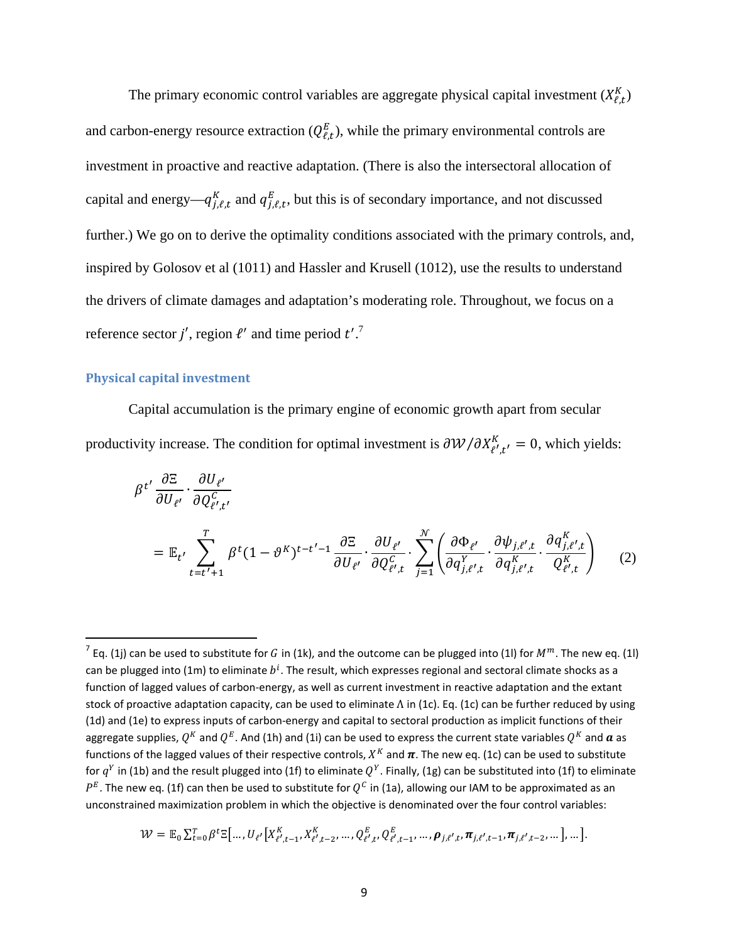The primary economic control variables are aggregate physical capital investment  $(X_{\ell,t}^K)$ and carbon-energy resource extraction  $(Q_{\ell,t}^E)$ , while the primary environmental controls are investment in proactive and reactive adaptation. (There is also the intersectoral allocation of capital and energy— $q_{j,\ell,t}^{K}$  and  $q_{j,\ell,t}^{E}$ , but this is of secondary importance, and not discussed further.) We go on to derive the optimality conditions associated with the primary controls, and, inspired by Golosov et al (1011) and Hassler and Krusell (1012), use the results to understand the drivers of climate damages and adaptation's moderating role. Throughout, we focus on a reference sector j', region  $\ell'$  and time period  $t'$ .<sup>7</sup>

#### **Physical capital investment**

 $\overline{\phantom{a}}$ 

Capital accumulation is the primary engine of economic growth apart from secular productivity increase. The condition for optimal investment is  $\partial W/\partial X_{\ell',t'}^K = 0$ , which yields:

$$
\beta^{t'} \frac{\partial \Xi}{\partial U_{\ell'}} \cdot \frac{\partial U_{\ell'}}{\partial Q_{\ell',t'}^c}
$$
\n
$$
= \mathbb{E}_{t'} \sum_{t=t'+1}^T \beta^t (1 - \vartheta^K)^{t-t'-1} \frac{\partial \Xi}{\partial U_{\ell'}} \cdot \frac{\partial U_{\ell'}}{\partial Q_{\ell',t}^c} \cdot \sum_{j=1}^N \left( \frac{\partial \Phi_{\ell'}}{\partial q_{j,\ell',t}^Y} \cdot \frac{\partial \phi_{j,\ell',t}}{\partial q_{j,\ell',t}^K} \cdot \frac{\partial q_{j,\ell',t}^K}{Q_{\ell',t}^K} \right) \tag{2}
$$

$$
\mathcal{W} = \mathbb{E}_0 \sum_{t=0}^T \beta^t \mathbb{E} \big[ \dots, U_{\ell'} \big[ X_{\ell',t-1}^K, X_{\ell',t-2}^K, \dots, Q_{\ell',t}^E, Q_{\ell',t-1}^E, \dots, \rho_{j,\ell',t}, \pi_{j,\ell',t-1}, \pi_{j,\ell',t-2}, \dots \big], \dots \big].
$$

 $^7$  Eq. (1j) can be used to substitute for G in (1k), and the outcome can be plugged into (1l) for  $M^m$ . The new eq. (1l) can be plugged into (1m) to eliminate  $b^i$ . The result, which expresses regional and sectoral climate shocks as a function of lagged values of carbon-energy, as well as current investment in reactive adaptation and the extant stock of proactive adaptation capacity, can be used to eliminate Λ in (1c). Eq. (1c) can be further reduced by using (1d) and (1e) to express inputs of carbon-energy and capital to sectoral production as implicit functions of their aggregate supplies,  $Q^K$  and  $Q^E$ . And (1h) and (1i) can be used to express the current state variables  $Q^K$  and  $\boldsymbol{a}$  as functions of the lagged values of their respective controls,  $X^K$  and  $\pi$ . The new eq. (1c) can be used to substitute for  $q^Y$  in (1b) and the result plugged into (1f) to eliminate  $Q^Y$ . Finally, (1g) can be substituted into (1f) to eliminate  $P^E$ . The new eq. (1f) can then be used to substitute for  $Q^C$  in (1a), allowing our IAM to be approximated as an unconstrained maximization problem in which the objective is denominated over the four control variables: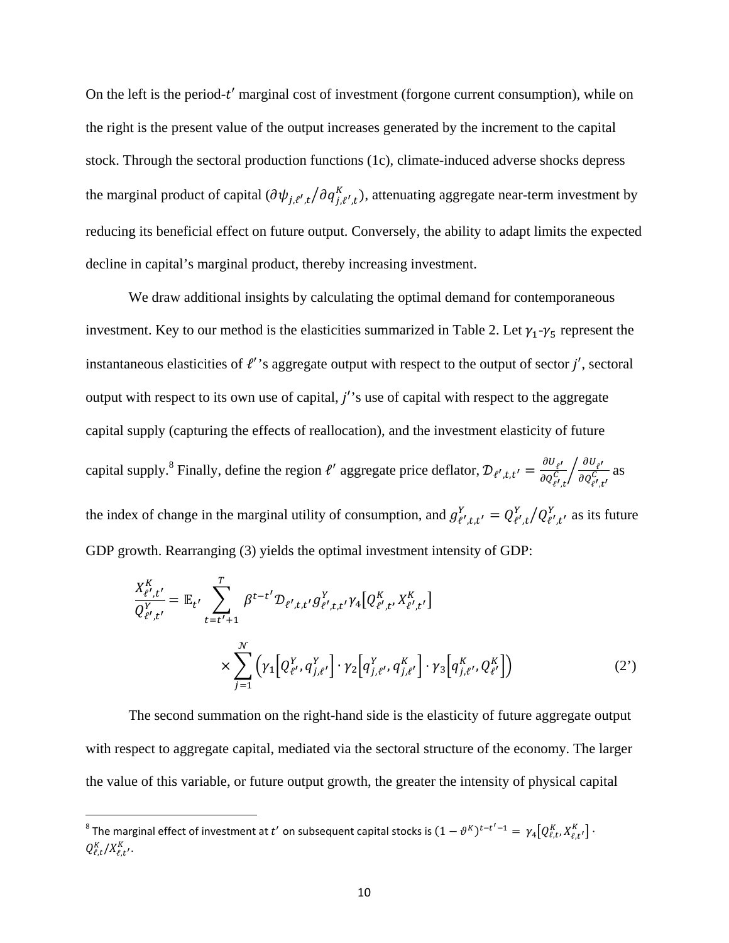On the left is the period- $t'$  marginal cost of investment (forgone current consumption), while on the right is the present value of the output increases generated by the increment to the capital stock. Through the sectoral production functions (1c), climate-induced adverse shocks depress the marginal product of capital  $(\partial \psi_{j,\ell',t}/\partial q_{j,\ell',t}^K)$ , attenuating aggregate near-term investment by reducing its beneficial effect on future output. Conversely, the ability to adapt limits the expected decline in capital's marginal product, thereby increasing investment.

We draw additional insights by calculating the optimal demand for contemporaneous investment. Key to our method is the elasticities summarized in Table 2. Let  $\gamma_1$ - $\gamma_5$  represent the instantaneous elasticities of  $\ell$ " saggregate output with respect to the output of sector  $j'$ , sectoral output with respect to its own use of capital,  $j'$ 's use of capital with respect to the aggregate capital supply (capturing the effects of reallocation), and the investment elasticity of future capital supply.<sup>8</sup> Finally, define the region  $\ell'$  aggregate price deflator,  $\mathcal{D}_{\ell',t,t'} = \frac{\partial U_{\ell'}}{\partial Q_{\ell',t}^C} \left/ \frac{\partial U_{\ell'}}{\partial Q_{\ell',t}^C} \right)$  $\sqrt{\frac{\partial G_{\ell'}}{\partial Q_{\ell',t'}^C}}$  as the index of change in the marginal utility of consumption, and  $g_{\ell',t,t'}^Y = Q_{\ell',t}^Y/Q_{\ell',t'}^Y$  as its future GDP growth. Rearranging (3) yields the optimal investment intensity of GDP:

$$
\frac{X_{\ell',t'}^{K}}{Q_{\ell',t'}^{Y}} = \mathbb{E}_{t'} \sum_{t=t'+1}^{T} \beta^{t-t'} \mathcal{D}_{\ell',t,t'} g_{\ell',t,t'}^{Y} \gamma_4 \big[ Q_{\ell',t'}^{K}, X_{\ell',t'}^{K'} \big]
$$
\n
$$
\times \sum_{j=1}^{N} \left( \gamma_1 \big[ Q_{\ell'}^{Y}, q_{j,\ell'}^{Y} \big] \cdot \gamma_2 \big[ q_{j,\ell'}^{Y}, q_{j,\ell'}^{K} \big] \cdot \gamma_3 \big[ q_{j,\ell'}^{K}, Q_{\ell'}^{K} \big] \right) \tag{2'}
$$

The second summation on the right-hand side is the elasticity of future aggregate output with respect to aggregate capital, mediated via the sectoral structure of the economy. The larger the value of this variable, or future output growth, the greater the intensity of physical capital

 $\overline{\phantom{a}}$ 

 $^8$  The marginal effect of investment at  $t'$  on subsequent capital stocks is  $(1-\vartheta^K)^{t-t'-1}=\ \gamma_4\big[Q^K_{\ell,t},X^K_{\ell,t'}\big]\cdot$  $Q_{\ell,t}^K/X_{\ell,t}^K$ .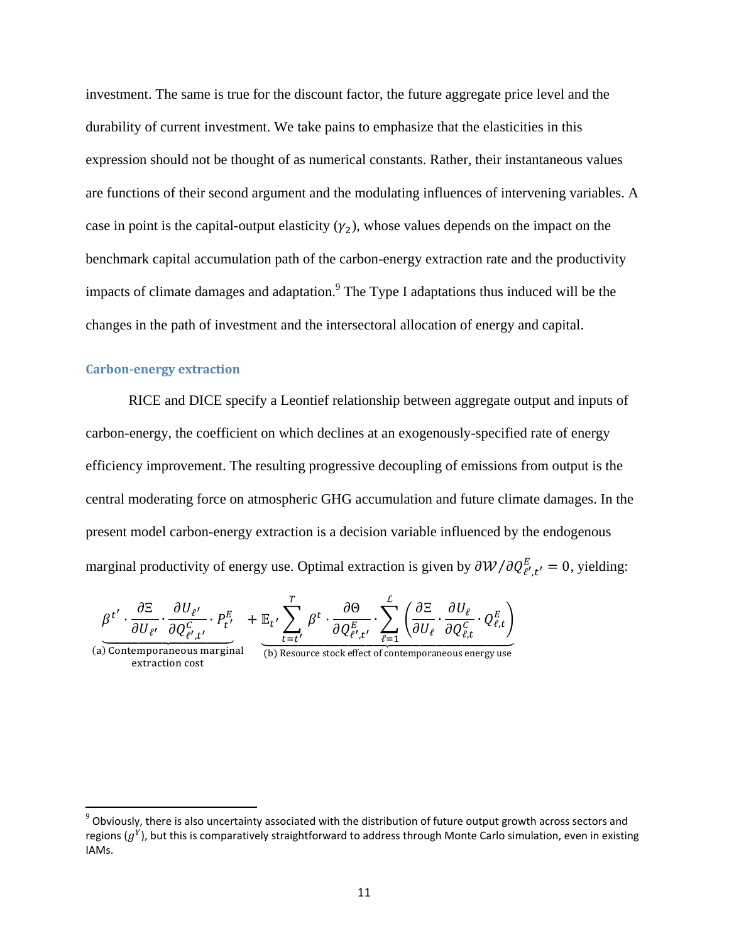investment. The same is true for the discount factor, the future aggregate price level and the durability of current investment. We take pains to emphasize that the elasticities in this expression should not be thought of as numerical constants. Rather, their instantaneous values are functions of their second argument and the modulating influences of intervening variables. A case in point is the capital-output elasticity  $(\gamma_2)$ , whose values depends on the impact on the benchmark capital accumulation path of the carbon-energy extraction rate and the productivity impacts of climate damages and adaptation. $9$  The Type I adaptations thus induced will be the changes in the path of investment and the intersectoral allocation of energy and capital.

# **Carbon-energy extraction**

RICE and DICE specify a Leontief relationship between aggregate output and inputs of carbon-energy, the coefficient on which declines at an exogenously-specified rate of energy efficiency improvement. The resulting progressive decoupling of emissions from output is the central moderating force on atmospheric GHG accumulation and future climate damages. In the present model carbon-energy extraction is a decision variable influenced by the endogenous marginal productivity of energy use. Optimal extraction is given by  $\partial W/\partial Q_{\ell',t'}^E = 0$ , yielding:

$$
\underline{\beta^{t'}} \cdot \frac{\partial \Xi}{\partial U_{\ell'}} \cdot \frac{\partial U_{\ell'}}{\partial Q^C_{\ell',t'}} \cdot P^E_{t'} \quad + \mathbb{E}_{t'} \sum_{t=t'}^{T} \beta^t \cdot \frac{\partial \Theta}{\partial Q^E_{\ell',t'}} \cdot \sum_{\ell=1}^{\mathcal{L}} \left( \frac{\partial \Xi}{\partial U_{\ell}} \cdot \frac{\partial U_{\ell}}{\partial Q^C_{\ell,t}} \cdot Q^E_{\ell,t} \right)
$$

(a) Contemporaneous marginal extraction cost

 $\overline{\phantom{a}}$ 

 $(b)$  Resource stock effect of contemporaneous energy use

 $^9$  Obviously, there is also uncertainty associated with the distribution of future output growth across sectors and regions  $(g<sup>Y</sup>)$ , but this is comparatively straightforward to address through Monte Carlo simulation, even in existing IAMs.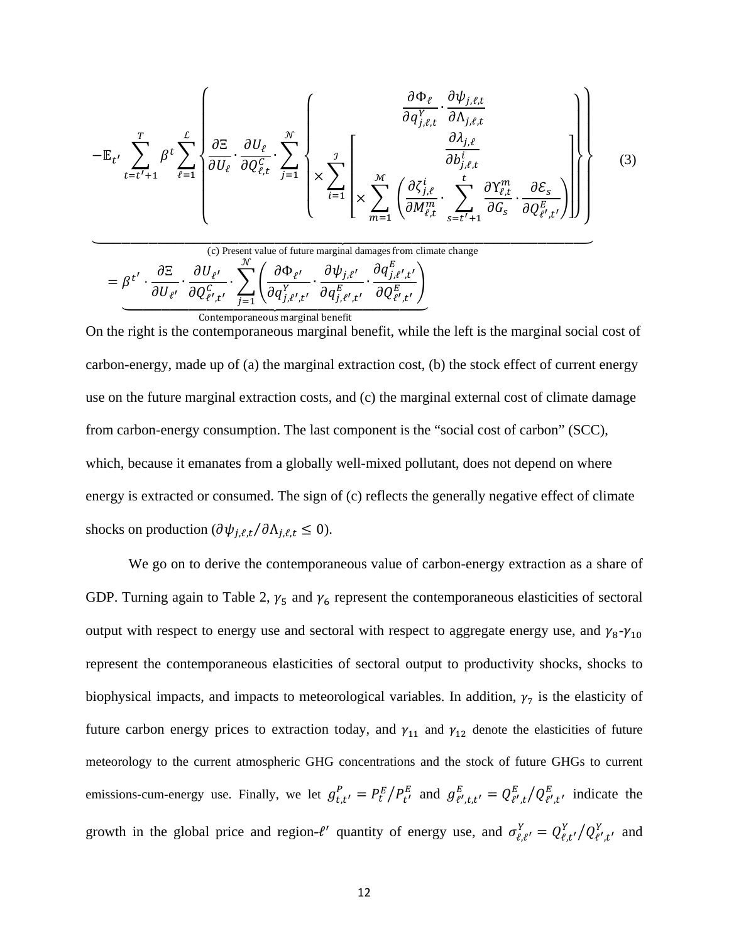$$
-\mathbb{E}_{t'}\sum_{t=t'+1}^{T}\beta^{t}\sum_{\ell=1}^{L}\left\{\frac{\partial\Xi}{\partial U_{\ell}}\cdot\frac{\partial U_{\ell}}{\partial Q_{\ell,t}^{C}}\cdot\sum_{j=1}^{\mathcal{N}}\left\{\times\sum_{i=1}^{J}\left[\frac{\partial\phi_{\ell}}{\partial A_{j,\ell,t}^{Y}}\cdot\frac{\partial\psi_{j,\ell,t}}{\partial A_{j,\ell,t}}\cdot\sum_{s=t'+1}^{J}\frac{\partial\lambda_{j,\ell}}{\partial G_{s}}\cdot\frac{\partial\phi_{\ell}}{\partial Q_{\ell',t}^{E}}\cdot\frac{\partial\phi_{\ell}}{\partial Q_{\ell',t}^{E}}\cdot\frac{\partial\phi_{\ell}}{\partial Q_{\ell',t}^{E}}\right)\right\}\right\}
$$
(3)

(c) Present value of future marginal damages from climate change  
\n
$$
= \beta^{t'} \cdot \frac{\partial \Xi}{\partial U_{\ell'}} \cdot \frac{\partial U_{\ell'}}{\partial Q_{\ell',t'}^c} \cdot \sum_{j=1}^{\mathcal{N}} \left( \frac{\partial \Phi_{\ell'}}{\partial q_{j,\ell',t'}^Y} \cdot \frac{\partial \psi_{j,\ell'}}{\partial q_{j,\ell',t'}^E} \cdot \frac{\partial q_{j,\ell',t'}^E}{\partial Q_{\ell',t'}^E} \right)
$$
\n
$$
\underbrace{\hspace{2cm}\text{Contemporaneous marginal benefit}}_{\text{Contemporaneous marginal benefit}}
$$

On the right is the contemporaneous marginal benefit, while the left is the marginal social cost of carbon-energy, made up of (a) the marginal extraction cost, (b) the stock effect of current energy use on the future marginal extraction costs, and (c) the marginal external cost of climate damage from carbon-energy consumption. The last component is the "social cost of carbon" (SCC), which, because it emanates from a globally well-mixed pollutant, does not depend on where energy is extracted or consumed. The sign of (c) reflects the generally negative effect of climate shocks on production  $(\partial \psi_{i,\ell,t}/\partial \Lambda_{i,\ell,t} \leq 0)$ .

We go on to derive the contemporaneous value of carbon-energy extraction as a share of GDP. Turning again to Table 2,  $\gamma_5$  and  $\gamma_6$  represent the contemporaneous elasticities of sectoral output with respect to energy use and sectoral with respect to aggregate energy use, and  $\gamma_8-\gamma_{10}$ represent the contemporaneous elasticities of sectoral output to productivity shocks, shocks to biophysical impacts, and impacts to meteorological variables. In addition,  $\gamma_7$  is the elasticity of future carbon energy prices to extraction today, and  $\gamma_{11}$  and  $\gamma_{12}$  denote the elasticities of future meteorology to the current atmospheric GHG concentrations and the stock of future GHGs to current emissions-cum-energy use. Finally, we let  $g_{t,t'}^P = P_t^E/P_{t'}^E$  and  $g_{t',t,t'}^E = Q_{t',t}^E/Q_{t',t'}^E$  indicate the growth in the global price and region- $\ell'$  quantity of energy use, and  $\sigma_{\ell,\ell'}^Y = Q_{\ell,t'}^Y / Q_{\ell',t'}^Y$  and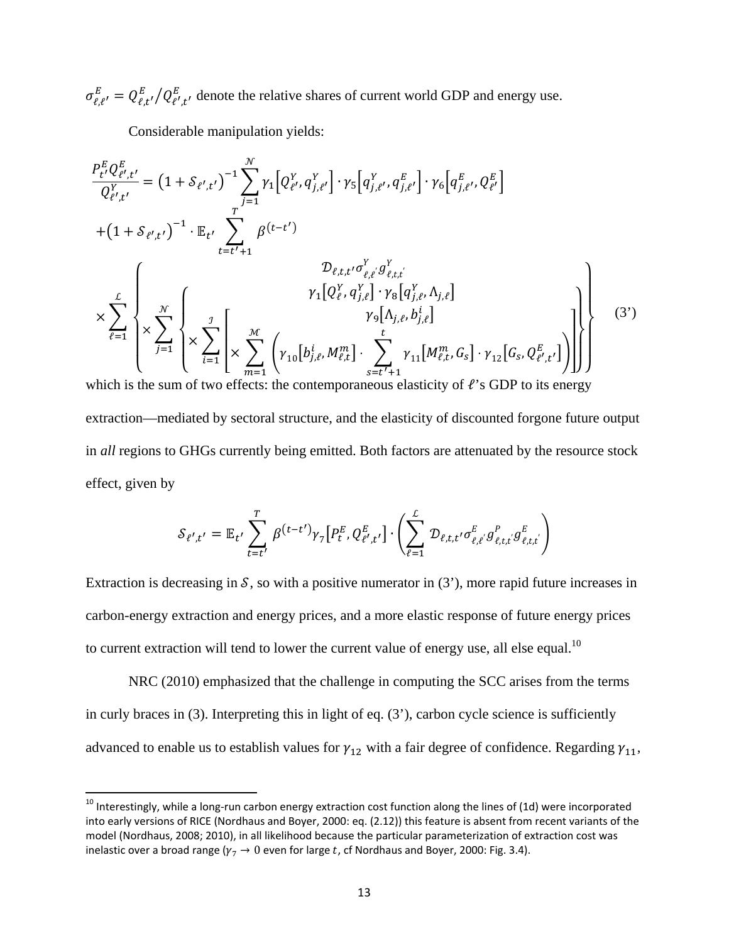$\sigma_{\ell,\ell'}^E = Q_{\ell,t'}^E / Q_{\ell',t'}^E$ , denote the relative shares of current world GDP and energy use.

Considerable manipulation yields:

 $\overline{a}$ 

$$
\frac{P_{t'}^{E}Q_{t',t'}^{E}}{Q_{t',t'}^{Y}} = (1 + \mathcal{S}_{t',t'})^{-1} \sum_{j=1}^{N} \gamma_{1} [Q_{t',t}^{Y}q_{j,t'}^{Y}] \cdot \gamma_{5} [q_{j,t'}^{Y}, q_{j,t'}^{E}] \cdot \gamma_{6} [q_{j,t'}^{E}, Q_{t'}^{E}]
$$
\n
$$
+ (1 + \mathcal{S}_{t',t'})^{-1} \cdot \mathbb{E}_{t'} \sum_{t=t'+1}^{T} \beta^{(t-t')} \mathcal{D}_{t,t,t'} \sigma_{t,t'}^{Y} g_{t,t,t'}^{Y} \mathcal{D}_{t',t'}^{Y} \mathcal{D}_{t',t'}^{Y} \mathcal{D}_{t',t'}^{Y} \mathcal{D}_{t',t'}^{Y} \mathcal{D}_{t',t'}^{Y} \mathcal{D}_{t',t'}^{Y} \mathcal{D}_{t',t'}^{Y} \mathcal{D}_{t',t'}^{Y} \mathcal{D}_{t',t'}^{Y} \mathcal{D}_{t',t'}^{Y} \mathcal{D}_{t',t'}^{Y} \mathcal{D}_{t',t'}^{Y} \mathcal{D}_{t',t'}^{Y} \mathcal{D}_{t',t'}^{Y} \mathcal{D}_{t',t'}^{Y} \mathcal{D}_{t',t'}^{Y} \mathcal{D}_{t',t'}^{Y} \mathcal{D}_{t',t'}^{Y} \mathcal{D}_{t',t'}^{Y} \mathcal{D}_{t',t'}^{Y} \mathcal{D}_{t',t'}^{Y} \mathcal{D}_{t',t'}^{Y} \mathcal{D}_{t',t'}^{Y} \mathcal{D}_{t',t'}^{Y} \mathcal{D}_{t',t'}^{Y} \mathcal{D}_{t',t'}^{Y} \mathcal{D}_{t',t'}^{Y} \mathcal{D}_{t',t'}^{Y} \mathcal{D}_{t',t'}^{Y} \mathcal{D}_{t',t'}^{Y} \mathcal{D}_{t',t'}^{Y} \mathcal{D}_{t',t'}^{Y} \mathcal{D}_{t',t'}^{Y} \mathcal{D}_{t',t'}^{Y} \mathcal{D}_{t',t'}^{Y} \mathcal{D}_{t',t'}^{Y} \mathcal{D}_{t',t'}^{Y} \mathcal{D}_{t',t'}^{Y} \mathcal{D}_{t',t'}^{Y} \mathcal{D}_{t',t'}^{Y} \mathcal{D}_{t',t'}^{Y} \mathcal{D}_{t',t'}^{Y} \mathcal{D
$$

extraction—mediated by sectoral structure, and the elasticity of discounted forgone future output in *all* regions to GHGs currently being emitted. Both factors are attenuated by the resource stock effect, given by

$$
\mathcal{S}_{\ell',t'} = \mathbb{E}_{t'} \sum_{t=t'}^{T} \beta^{(t-t')} \gamma_7[P_t^E, Q_{\ell',t'}^E] \cdot \left( \sum_{\ell=1}^{L} \mathcal{D}_{\ell,t,t'} \sigma_{\ell,\ell}^E g_{\ell,t,t'}^P g_{\ell,t,t'}^E \right)
$$

Extraction is decreasing in  $S$ , so with a positive numerator in (3'), more rapid future increases in carbon-energy extraction and energy prices, and a more elastic response of future energy prices to current extraction will tend to lower the current value of energy use, all else equal.<sup>10</sup>

NRC (2010) emphasized that the challenge in computing the SCC arises from the terms in curly braces in (3). Interpreting this in light of eq. (3'), carbon cycle science is sufficiently advanced to enable us to establish values for  $\gamma_{12}$  with a fair degree of confidence. Regarding  $\gamma_{11}$ ,

 $^{10}$  Interestingly, while a long-run carbon energy extraction cost function along the lines of (1d) were incorporated into early versions of RICE (Nordhaus and Boyer, 2000: eq. (2.12)) this feature is absent from recent variants of the model (Nordhaus, 2008; 2010), in all likelihood because the particular parameterization of extraction cost was inelastic over a broad range ( $\gamma_7 \rightarrow 0$  even for large t, cf Nordhaus and Boyer, 2000: Fig. 3.4).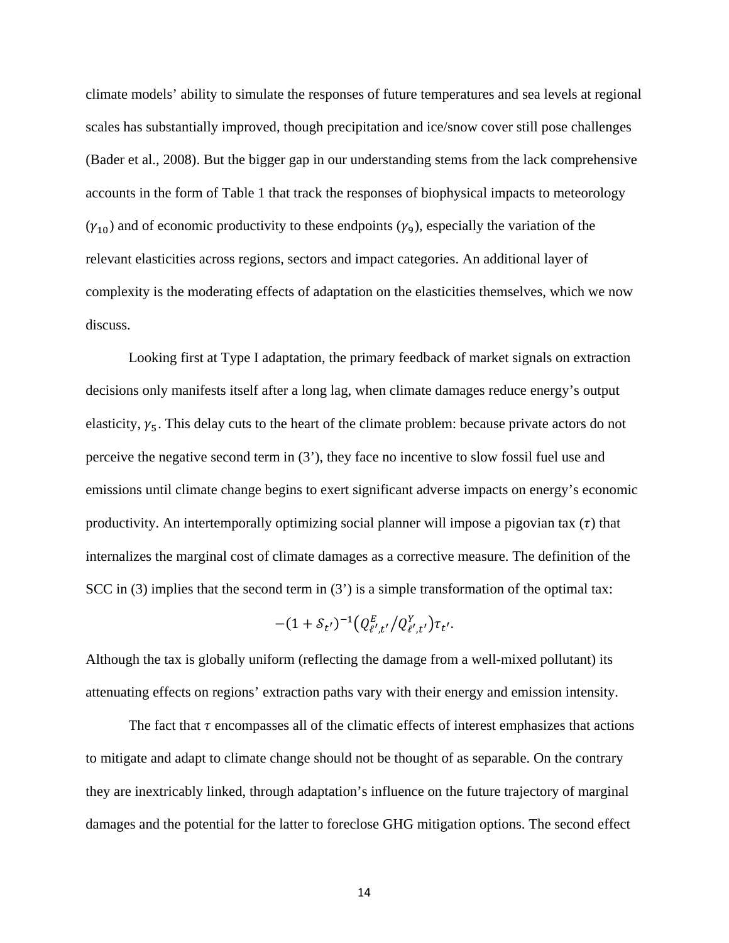climate models' ability to simulate the responses of future temperatures and sea levels at regional scales has substantially improved, though precipitation and ice/snow cover still pose challenges (Bader et al., 2008). But the bigger gap in our understanding stems from the lack comprehensive accounts in the form of Table 1 that track the responses of biophysical impacts to meteorology  $(\gamma_{10})$  and of economic productivity to these endpoints  $(\gamma_9)$ , especially the variation of the relevant elasticities across regions, sectors and impact categories. An additional layer of complexity is the moderating effects of adaptation on the elasticities themselves, which we now discuss.

Looking first at Type I adaptation, the primary feedback of market signals on extraction decisions only manifests itself after a long lag, when climate damages reduce energy's output elasticity,  $\gamma_5$ . This delay cuts to the heart of the climate problem: because private actors do not perceive the negative second term in (3'), they face no incentive to slow fossil fuel use and emissions until climate change begins to exert significant adverse impacts on energy's economic productivity. An intertemporally optimizing social planner will impose a pigovian tax  $(\tau)$  that internalizes the marginal cost of climate damages as a corrective measure. The definition of the SCC in  $(3)$  implies that the second term in  $(3')$  is a simple transformation of the optimal tax:

$$
-(1+\mathcal{S}_{t'})^{-1}\big(Q^E_{\ell',t'}/Q^Y_{\ell',t'}\big)\tau_{t'}.
$$

Although the tax is globally uniform (reflecting the damage from a well-mixed pollutant) its attenuating effects on regions' extraction paths vary with their energy and emission intensity.

The fact that  $\tau$  encompasses all of the climatic effects of interest emphasizes that actions to mitigate and adapt to climate change should not be thought of as separable. On the contrary they are inextricably linked, through adaptation's influence on the future trajectory of marginal damages and the potential for the latter to foreclose GHG mitigation options. The second effect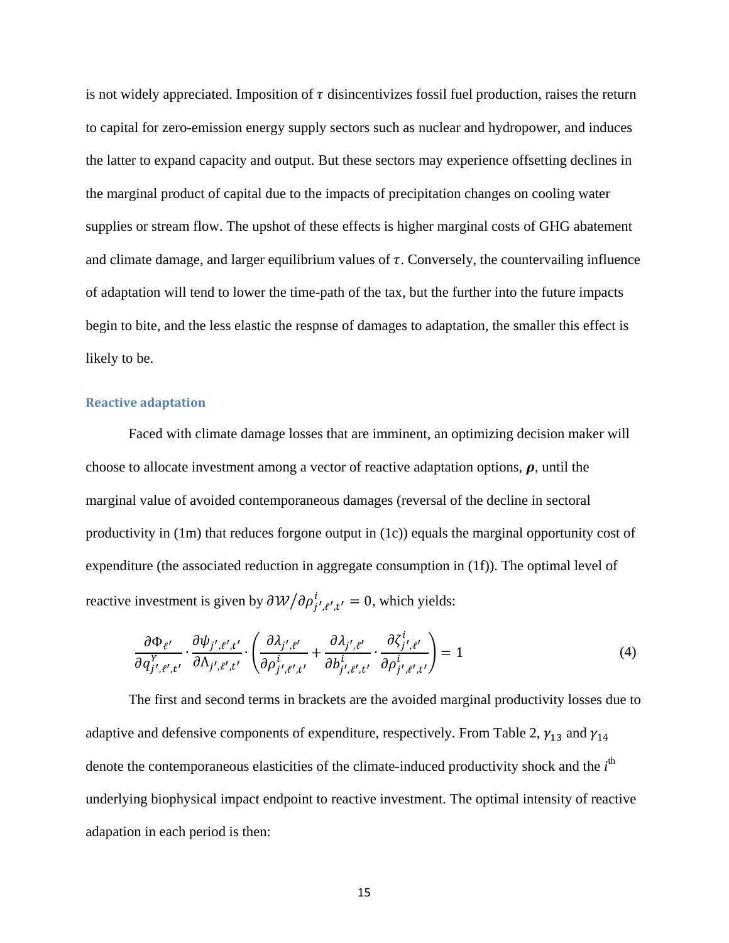is not widely appreciated. Imposition of  $\tau$  disincentivizes fossil fuel production, raises the return to capital for zero-emission energy supply sectors such as nuclear and hydropower, and induces the latter to expand capacity and output. But these sectors may experience offsetting declines in the marginal product of capital due to the impacts of precipitation changes on cooling water supplies or stream flow. The upshot of these effects is higher marginal costs of GHG abatement and climate damage, and larger equilibrium values of  $\tau$ . Conversely, the countervailing influence of adaptation will tend to lower the time-path of the tax, but the further into the future impacts begin to bite, and the less elastic the respnse of damages to adaptation, the smaller this effect is likely to be.

## **Reactive adaptation**

Faced with climate damage losses that are imminent, an optimizing decision maker will choose to allocate investment among a vector of reactive adaptation options,  $\rho$ , until the marginal value of avoided contemporaneous damages (reversal of the decline in sectoral productivity in (1m) that reduces forgone output in (1c)) equals the marginal opportunity cost of expenditure (the associated reduction in aggregate consumption in (1f)). The optimal level of reactive investment is given by  $\partial \mathcal{W}/\partial \rho_{i',\ell',t'}^i = 0$ , which yields:

$$
\frac{\partial \Phi_{\ell'}}{\partial q_{j',\ell',t'}} \cdot \frac{\partial \psi_{j',\ell',t'}}{\partial \Lambda_{j',\ell',t'}} \cdot \left( \frac{\partial \lambda_{j',\ell'}}{\partial \rho_{j',\ell',t'}} + \frac{\partial \lambda_{j',\ell'}}{\partial b_{j',\ell',t'}} \cdot \frac{\partial \zeta_{j',\ell'}}{\partial \rho_{j',\ell',t'}} \right) = 1
$$
\n(4)

The first and second terms in brackets are the avoided marginal productivity losses due to adaptive and defensive components of expenditure, respectively. From Table 2,  $\gamma_{13}$  and  $\gamma_{14}$ denote the contemporaneous elasticities of the climate-induced productivity shock and the *i*<sup>th</sup> underlying biophysical impact endpoint to reactive investment. The optimal intensity of reactive adapation in each period is then: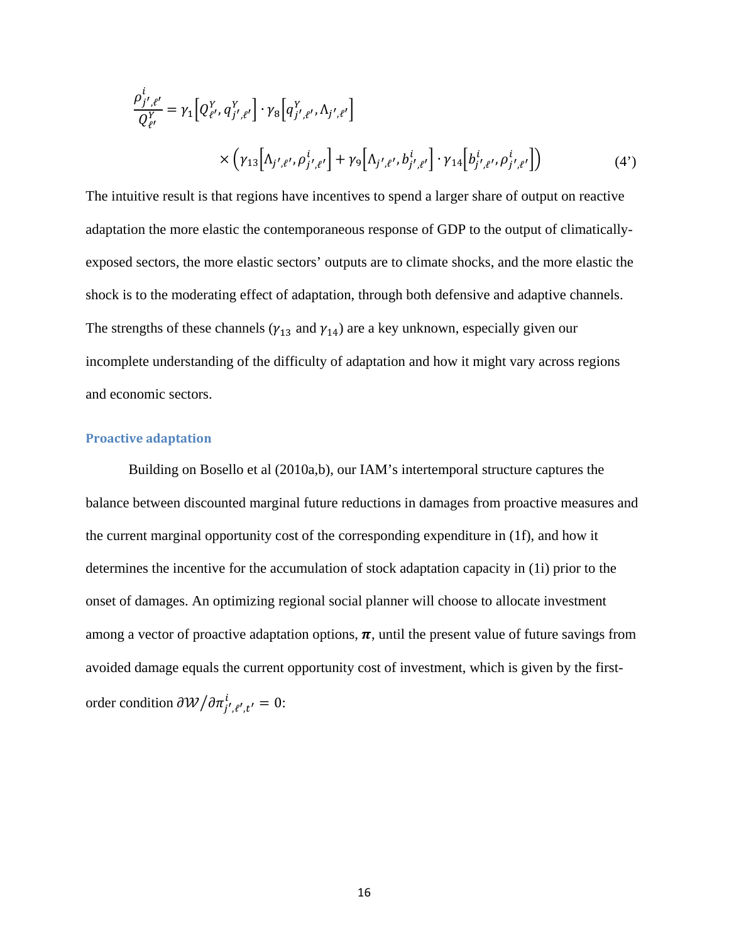$$
\frac{\rho_{j',\ell'}^{i}}{Q_{\ell'}^{Y}} = \gamma_1 \Big[ Q_{\ell'}^{Y} , q_{j',\ell'}^{Y} \Big] \cdot \gamma_8 \Big[ q_{j',\ell'}^{Y} , \Lambda_{j',\ell'} \Big] \times \Big( \gamma_{13} \Big[ \Lambda_{j',\ell'} , \rho_{j',\ell'}^{i} \Big] + \gamma_9 \Big[ \Lambda_{j',\ell'} , b_{j',\ell'}^{i} \Big] \cdot \gamma_{14} \Big[ b_{j',\ell'}^{i} , \rho_{j',\ell'}^{i} \Big] \Big)
$$
(4')

The intuitive result is that regions have incentives to spend a larger share of output on reactive adaptation the more elastic the contemporaneous response of GDP to the output of climaticallyexposed sectors, the more elastic sectors' outputs are to climate shocks, and the more elastic the shock is to the moderating effect of adaptation, through both defensive and adaptive channels. The strengths of these channels ( $\gamma_{13}$  and  $\gamma_{14}$ ) are a key unknown, especially given our incomplete understanding of the difficulty of adaptation and how it might vary across regions and economic sectors.

# **Proactive adaptation**

Building on Bosello et al (2010a,b), our IAM's intertemporal structure captures the balance between discounted marginal future reductions in damages from proactive measures and the current marginal opportunity cost of the corresponding expenditure in (1f), and how it determines the incentive for the accumulation of stock adaptation capacity in (1i) prior to the onset of damages. An optimizing regional social planner will choose to allocate investment among a vector of proactive adaptation options,  $\pi$ , until the present value of future savings from avoided damage equals the current opportunity cost of investment, which is given by the firstorder condition  $\partial \mathcal{W}/\partial \pi_{i',\ell',t'}^i = 0$ :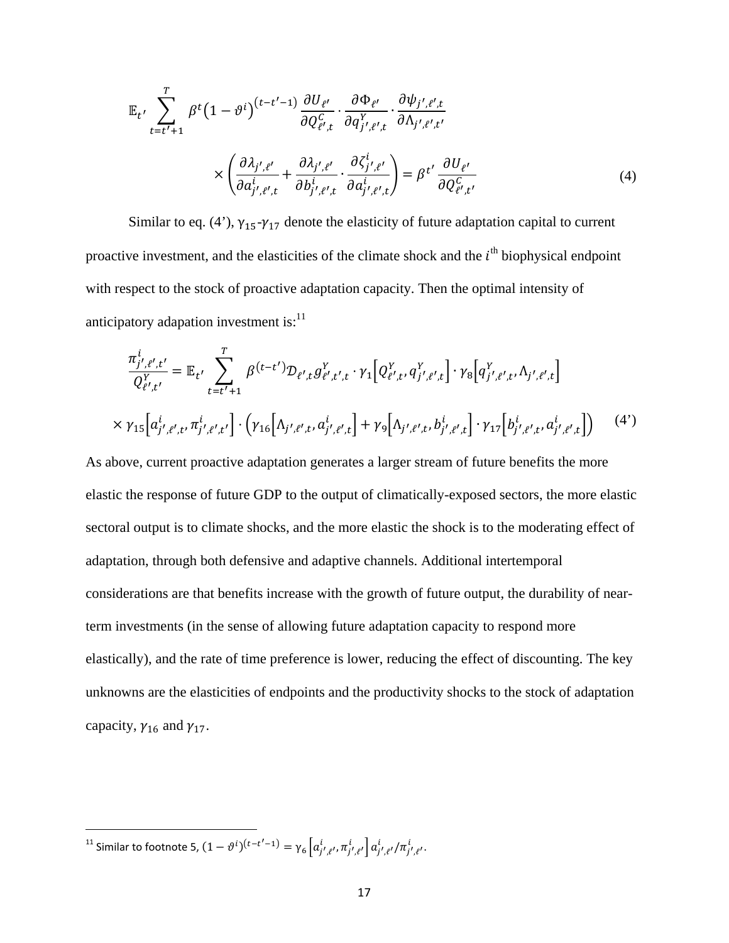$$
\mathbb{E}_{t'} \sum_{t=t'+1}^{T} \beta^{t} (1 - \vartheta^{i})^{(t-t'-1)} \frac{\partial U_{\ell'}}{\partial Q_{\ell',t}^{C}} \cdot \frac{\partial \Phi_{\ell'}}{\partial q_{j',\ell',t}^{Y}} \cdot \frac{\partial \psi_{j',\ell',t}}{\partial \Lambda_{j',\ell',t'}} \times \left( \frac{\partial \lambda_{j',\ell'}}{\partial a_{j',\ell',t}^{i}} + \frac{\partial \lambda_{j',\ell'}}{\partial b_{j',\ell',t}^{i}} \cdot \frac{\partial \zeta_{j',\ell'}}{\partial a_{j',\ell',t}^{i}} \right) = \beta^{t'} \frac{\partial U_{\ell'}}{\partial Q_{\ell',t'}^{C}}
$$
\n(4)

Similar to eq. (4'),  $\gamma_{15} - \gamma_{17}$  denote the elasticity of future adaptation capital to current proactive investment, and the elasticities of the climate shock and the  $i<sup>th</sup>$  biophysical endpoint with respect to the stock of proactive adaptation capacity. Then the optimal intensity of anticipatory adapation investment is: $<sup>11</sup>$ </sup>

$$
\frac{\pi_{j',\ell',t'}^{i}}{Q_{\ell',t'}^{Y}} = \mathbb{E}_{t'} \sum_{t=t'+1}^{T} \beta^{(t-t')} \mathcal{D}_{\ell',t} g_{\ell',t',t}^{Y} \cdot \gamma_1 \Big[ Q_{\ell',t'}^{Y} q_{j',\ell',t}^{Y} \Big] \cdot \gamma_8 \Big[ q_{j',\ell',t}^{Y} \Lambda_{j',\ell',t} \Big] \times \gamma_{15} \Big[ a_{j',\ell',t'}^{i}, \pi_{j',\ell',t'}^{i} \Big] \cdot \Big( \gamma_{16} \Big[ \Lambda_{j',\ell',t'} a_{j',\ell',t}^{i} \Big] + \gamma_9 \Big[ \Lambda_{j',\ell',t'} b_{j',\ell',t}^{i} \Big] \cdot \gamma_{17} \Big[ b_{j',\ell',t'}^{i}, a_{j',\ell',t}^{i} \Big] \Big)
$$
(4')

As above, current proactive adaptation generates a larger stream of future benefits the more elastic the response of future GDP to the output of climatically-exposed sectors, the more elastic sectoral output is to climate shocks, and the more elastic the shock is to the moderating effect of adaptation, through both defensive and adaptive channels. Additional intertemporal considerations are that benefits increase with the growth of future output, the durability of nearterm investments (in the sense of allowing future adaptation capacity to respond more elastically), and the rate of time preference is lower, reducing the effect of discounting. The key unknowns are the elasticities of endpoints and the productivity shocks to the stock of adaptation capacity,  $\gamma_{16}$  and  $\gamma_{17}$ .

 $\overline{\phantom{a}}$ 

<sup>&</sup>lt;sup>11</sup> Similar to footnote 5,  $(1 - θ<sup>i</sup>)(t-t'-1) = γ<sub>6</sub> [a<sub>j',ℓ'</sub>, π<sub>j',ℓ'</sub><sup>i</sup> ] a<sub>j',ℓ'</sub>, π<sub>j',ℓ'</sub><sup>i</sup> .$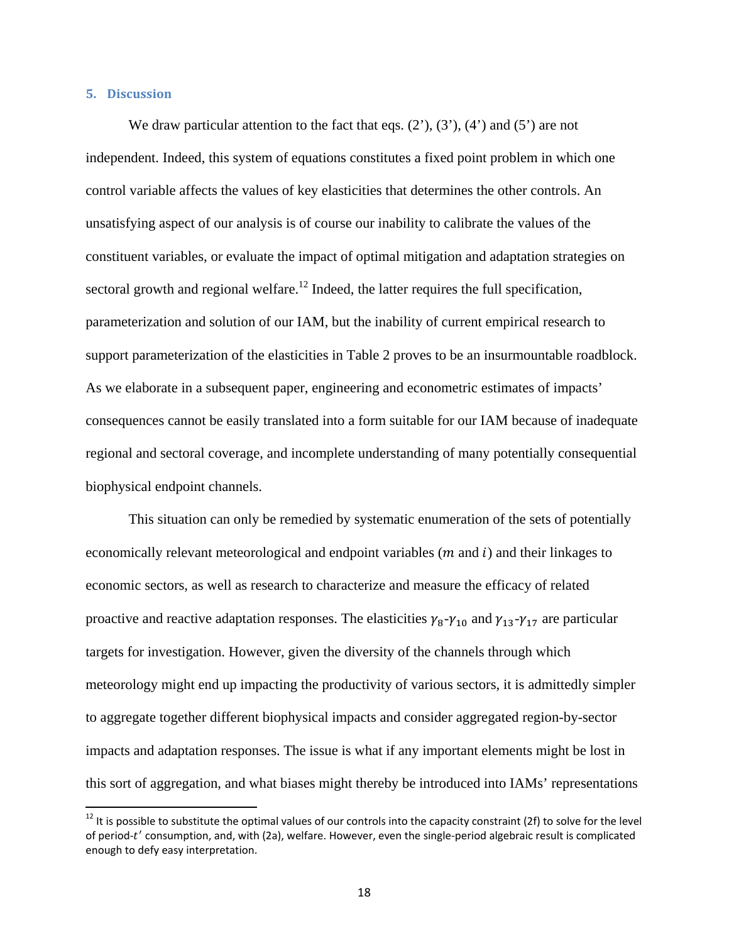## **5. Discussion**

 $\overline{\phantom{a}}$ 

We draw particular attention to the fact that eqs.  $(2^{\prime})$ ,  $(3^{\prime})$ ,  $(4^{\prime})$  and  $(5^{\prime})$  are not independent. Indeed, this system of equations constitutes a fixed point problem in which one control variable affects the values of key elasticities that determines the other controls. An unsatisfying aspect of our analysis is of course our inability to calibrate the values of the constituent variables, or evaluate the impact of optimal mitigation and adaptation strategies on sectoral growth and regional welfare.<sup>12</sup> Indeed, the latter requires the full specification, parameterization and solution of our IAM, but the inability of current empirical research to support parameterization of the elasticities in Table 2 proves to be an insurmountable roadblock. As we elaborate in a subsequent paper, engineering and econometric estimates of impacts' consequences cannot be easily translated into a form suitable for our IAM because of inadequate regional and sectoral coverage, and incomplete understanding of many potentially consequential biophysical endpoint channels.

This situation can only be remedied by systematic enumeration of the sets of potentially economically relevant meteorological and endpoint variables  $(m$  and  $i)$  and their linkages to economic sectors, as well as research to characterize and measure the efficacy of related proactive and reactive adaptation responses. The elasticities  $\gamma_8 - \gamma_{10}$  and  $\gamma_{13} - \gamma_{17}$  are particular targets for investigation. However, given the diversity of the channels through which meteorology might end up impacting the productivity of various sectors, it is admittedly simpler to aggregate together different biophysical impacts and consider aggregated region-by-sector impacts and adaptation responses. The issue is what if any important elements might be lost in this sort of aggregation, and what biases might thereby be introduced into IAMs' representations

 $12$  It is possible to substitute the optimal values of our controls into the capacity constraint (2f) to solve for the level of period-t' consumption, and, with (2a), welfare. However, even the single-period algebraic result is complicated enough to defy easy interpretation.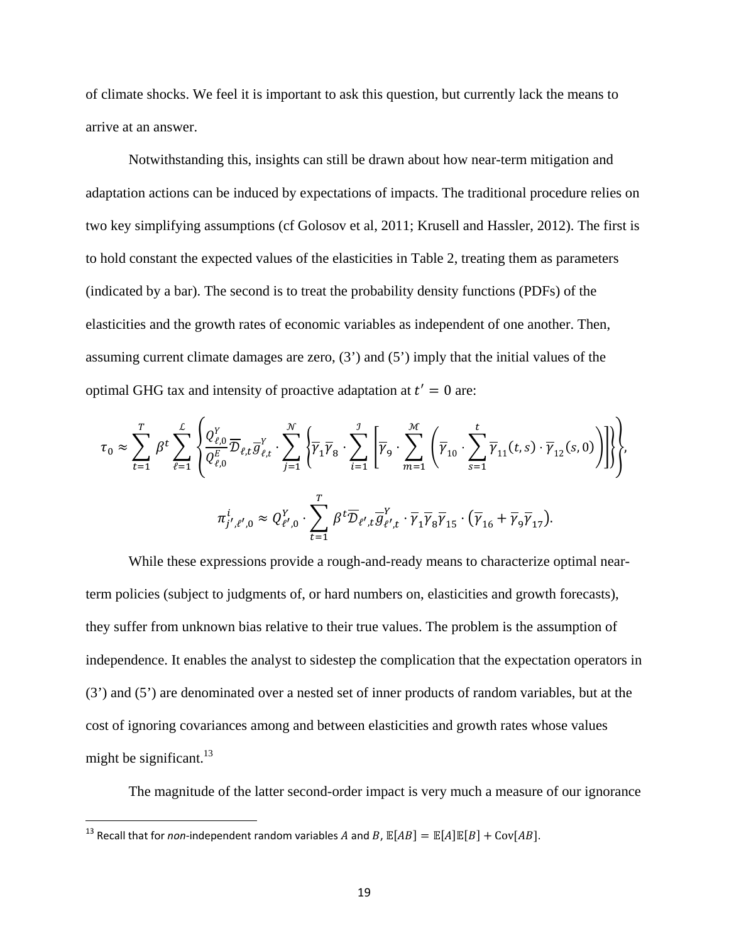of climate shocks. We feel it is important to ask this question, but currently lack the means to arrive at an answer.

Notwithstanding this, insights can still be drawn about how near-term mitigation and adaptation actions can be induced by expectations of impacts. The traditional procedure relies on two key simplifying assumptions (cf Golosov et al, 2011; Krusell and Hassler, 2012). The first is to hold constant the expected values of the elasticities in Table 2, treating them as parameters (indicated by a bar). The second is to treat the probability density functions (PDFs) of the elasticities and the growth rates of economic variables as independent of one another. Then, assuming current climate damages are zero, (3') and (5') imply that the initial values of the optimal GHG tax and intensity of proactive adaptation at  $t' = 0$  are:

$$
\tau_0 \approx \sum_{t=1}^T \beta^t \sum_{\ell=1}^L \left\{ \frac{Q_{\ell,0}^Y}{Q_{\ell,0}^E} \overline{D}_{\ell,t} \overline{g}_{\ell,t}^Y \cdot \sum_{j=1}^{\mathcal{N}} \left\{ \overline{\gamma}_1 \overline{\gamma}_8 \cdot \sum_{i=1}^{\mathcal{I}} \left[ \overline{\gamma}_9 \cdot \sum_{m=1}^{\mathcal{M}} \left( \overline{\gamma}_{10} \cdot \sum_{s=1}^t \overline{\gamma}_{11}(t,s) \cdot \overline{\gamma}_{12}(s,0) \right) \right] \right\},
$$
  

$$
\pi_{j',\ell',0}^i \approx Q_{\ell',0}^Y \cdot \sum_{t=1}^T \beta^t \overline{D}_{\ell',t} \overline{g}_{\ell',t}^Y \cdot \overline{\gamma}_1 \overline{\gamma}_8 \overline{\gamma}_{15} \cdot (\overline{\gamma}_{16} + \overline{\gamma}_9 \overline{\gamma}_{17}).
$$

While these expressions provide a rough-and-ready means to characterize optimal nearterm policies (subject to judgments of, or hard numbers on, elasticities and growth forecasts), they suffer from unknown bias relative to their true values. The problem is the assumption of independence. It enables the analyst to sidestep the complication that the expectation operators in (3') and (5') are denominated over a nested set of inner products of random variables, but at the cost of ignoring covariances among and between elasticities and growth rates whose values might be significant. $^{13}$ 

The magnitude of the latter second-order impact is very much a measure of our ignorance

 $\overline{\phantom{a}}$ 

<sup>&</sup>lt;sup>13</sup> Recall that for *non*-independent random variables A and B,  $\mathbb{E}[AB] = \mathbb{E}[A]\mathbb{E}[B] + \text{Cov}[AB]$ .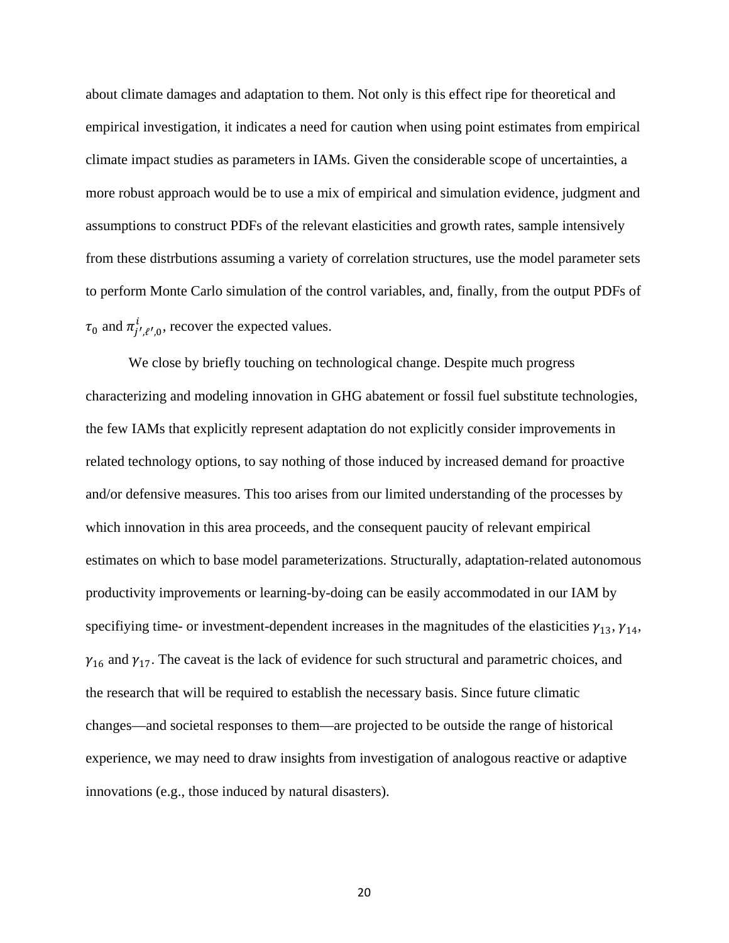about climate damages and adaptation to them. Not only is this effect ripe for theoretical and empirical investigation, it indicates a need for caution when using point estimates from empirical climate impact studies as parameters in IAMs. Given the considerable scope of uncertainties, a more robust approach would be to use a mix of empirical and simulation evidence, judgment and assumptions to construct PDFs of the relevant elasticities and growth rates, sample intensively from these distrbutions assuming a variety of correlation structures, use the model parameter sets to perform Monte Carlo simulation of the control variables, and, finally, from the output PDFs of  $\tau_0$  and  $\pi_{j',\ell',0}^i$ , recover the expected values.

We close by briefly touching on technological change. Despite much progress characterizing and modeling innovation in GHG abatement or fossil fuel substitute technologies, the few IAMs that explicitly represent adaptation do not explicitly consider improvements in related technology options, to say nothing of those induced by increased demand for proactive and/or defensive measures. This too arises from our limited understanding of the processes by which innovation in this area proceeds, and the consequent paucity of relevant empirical estimates on which to base model parameterizations. Structurally, adaptation-related autonomous productivity improvements or learning-by-doing can be easily accommodated in our IAM by specifiying time- or investment-dependent increases in the magnitudes of the elasticities  $\gamma_{13}$ ,  $\gamma_{14}$ ,  $\gamma_{16}$  and  $\gamma_{17}$ . The caveat is the lack of evidence for such structural and parametric choices, and the research that will be required to establish the necessary basis. Since future climatic changes—and societal responses to them—are projected to be outside the range of historical experience, we may need to draw insights from investigation of analogous reactive or adaptive innovations (e.g., those induced by natural disasters).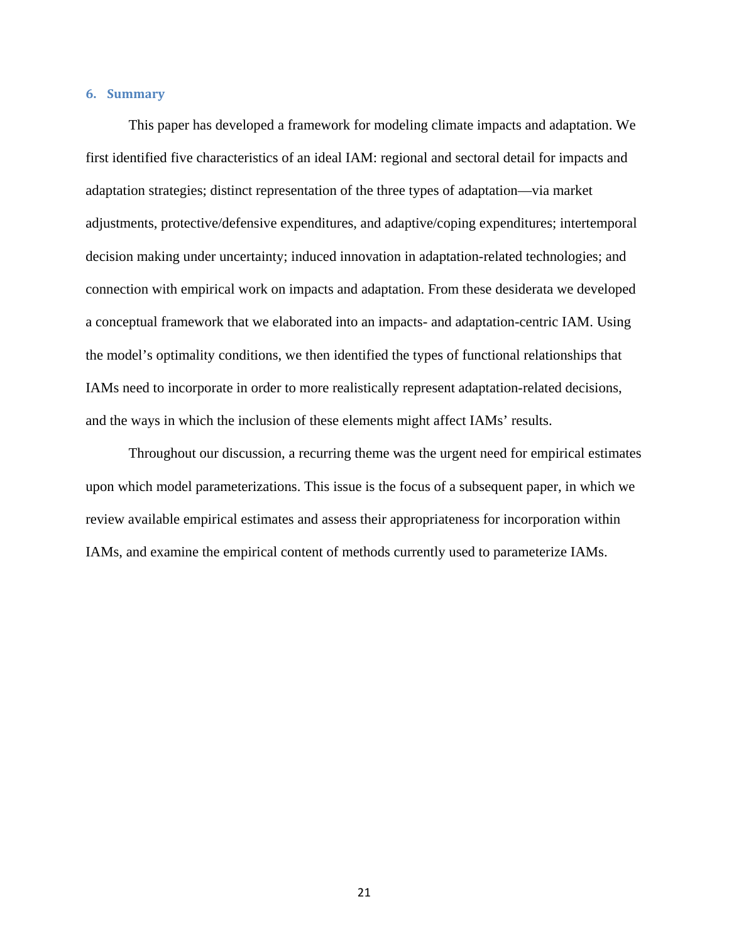## **6. Summary**

This paper has developed a framework for modeling climate impacts and adaptation. We first identified five characteristics of an ideal IAM: regional and sectoral detail for impacts and adaptation strategies; distinct representation of the three types of adaptation—via market adjustments, protective/defensive expenditures, and adaptive/coping expenditures; intertemporal decision making under uncertainty; induced innovation in adaptation-related technologies; and connection with empirical work on impacts and adaptation. From these desiderata we developed a conceptual framework that we elaborated into an impacts- and adaptation-centric IAM. Using the model's optimality conditions, we then identified the types of functional relationships that IAMs need to incorporate in order to more realistically represent adaptation-related decisions, and the ways in which the inclusion of these elements might affect IAMs' results.

Throughout our discussion, a recurring theme was the urgent need for empirical estimates upon which model parameterizations. This issue is the focus of a subsequent paper, in which we review available empirical estimates and assess their appropriateness for incorporation within IAMs, and examine the empirical content of methods currently used to parameterize IAMs.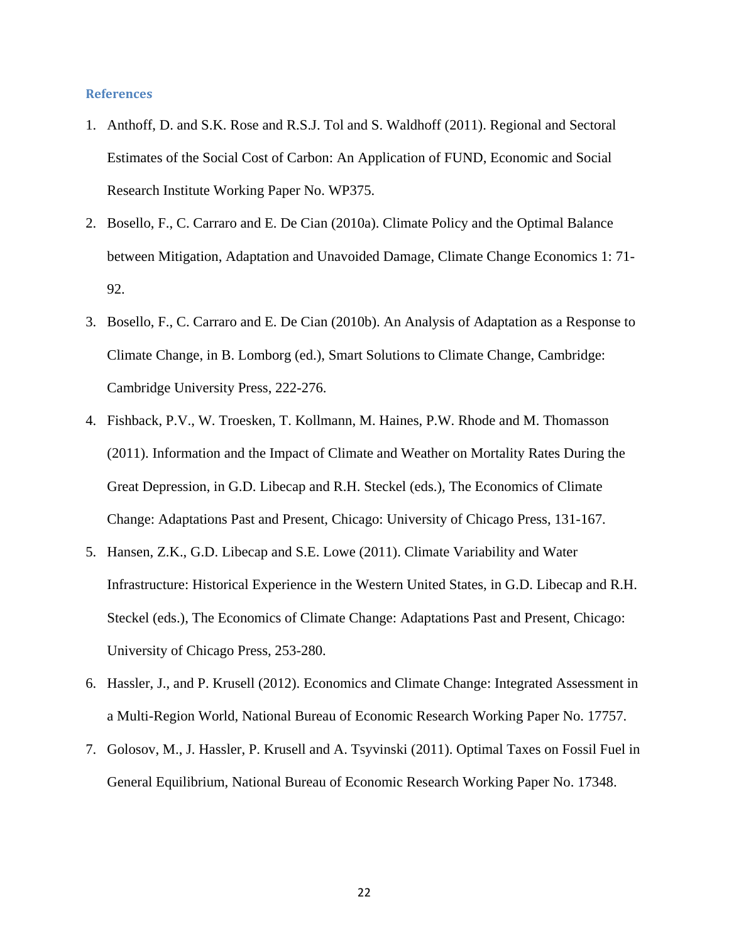#### **References**

- 1. Anthoff, D. and S.K. Rose and R.S.J. Tol and S. Waldhoff (2011). Regional and Sectoral Estimates of the Social Cost of Carbon: An Application of FUND, Economic and Social Research Institute Working Paper No. WP375.
- 2. Bosello, F., C. Carraro and E. De Cian (2010a). Climate Policy and the Optimal Balance between Mitigation, Adaptation and Unavoided Damage, Climate Change Economics 1: 71- 92.
- 3. Bosello, F., C. Carraro and E. De Cian (2010b). An Analysis of Adaptation as a Response to Climate Change, in B. Lomborg (ed.), Smart Solutions to Climate Change, Cambridge: Cambridge University Press, 222-276.
- 4. Fishback, P.V., W. Troesken, T. Kollmann, M. Haines, P.W. Rhode and M. Thomasson (2011). Information and the Impact of Climate and Weather on Mortality Rates During the Great Depression, in G.D. Libecap and R.H. Steckel (eds.), The Economics of Climate Change: Adaptations Past and Present, Chicago: University of Chicago Press, 131-167.
- 5. Hansen, Z.K., G.D. Libecap and S.E. Lowe (2011). Climate Variability and Water Infrastructure: Historical Experience in the Western United States, in G.D. Libecap and R.H. Steckel (eds.), The Economics of Climate Change: Adaptations Past and Present, Chicago: University of Chicago Press, 253-280.
- 6. Hassler, J., and P. Krusell (2012). Economics and Climate Change: Integrated Assessment in a Multi-Region World, National Bureau of Economic Research Working Paper No. 17757.
- 7. Golosov, M., J. Hassler, P. Krusell and A. Tsyvinski (2011). Optimal Taxes on Fossil Fuel in General Equilibrium, National Bureau of Economic Research Working Paper No. 17348.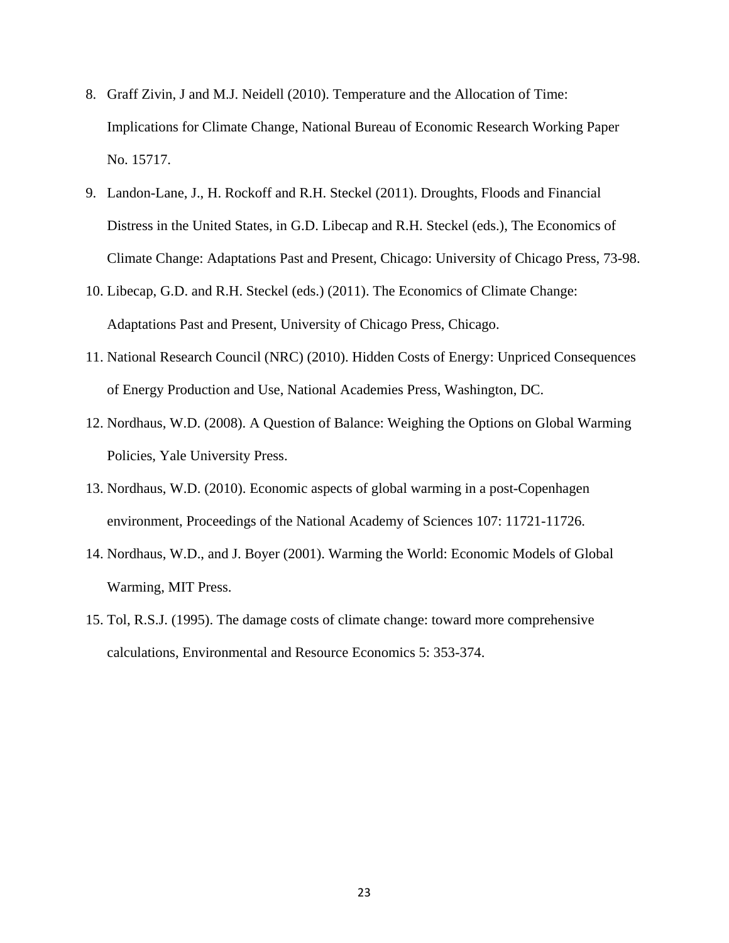- 8. Graff Zivin, J and M.J. Neidell (2010). Temperature and the Allocation of Time: Implications for Climate Change, National Bureau of Economic Research Working Paper No. 15717.
- 9. Landon-Lane, J., H. Rockoff and R.H. Steckel (2011). Droughts, Floods and Financial Distress in the United States, in G.D. Libecap and R.H. Steckel (eds.), The Economics of Climate Change: Adaptations Past and Present, Chicago: University of Chicago Press, 73-98.
- 10. Libecap, G.D. and R.H. Steckel (eds.) (2011). The Economics of Climate Change: Adaptations Past and Present, University of Chicago Press, Chicago.
- 11. National Research Council (NRC) (2010). Hidden Costs of Energy: Unpriced Consequences of Energy Production and Use, National Academies Press, Washington, DC.
- 12. Nordhaus, W.D. (2008). A Question of Balance: Weighing the Options on Global Warming Policies, Yale University Press.
- 13. Nordhaus, W.D. (2010). Economic aspects of global warming in a post-Copenhagen environment, Proceedings of the National Academy of Sciences 107: 11721-11726.
- 14. Nordhaus, W.D., and J. Boyer (2001). Warming the World: Economic Models of Global Warming, MIT Press.
- 15. Tol, R.S.J. (1995). The damage costs of climate change: toward more comprehensive calculations, Environmental and Resource Economics 5: 353-374.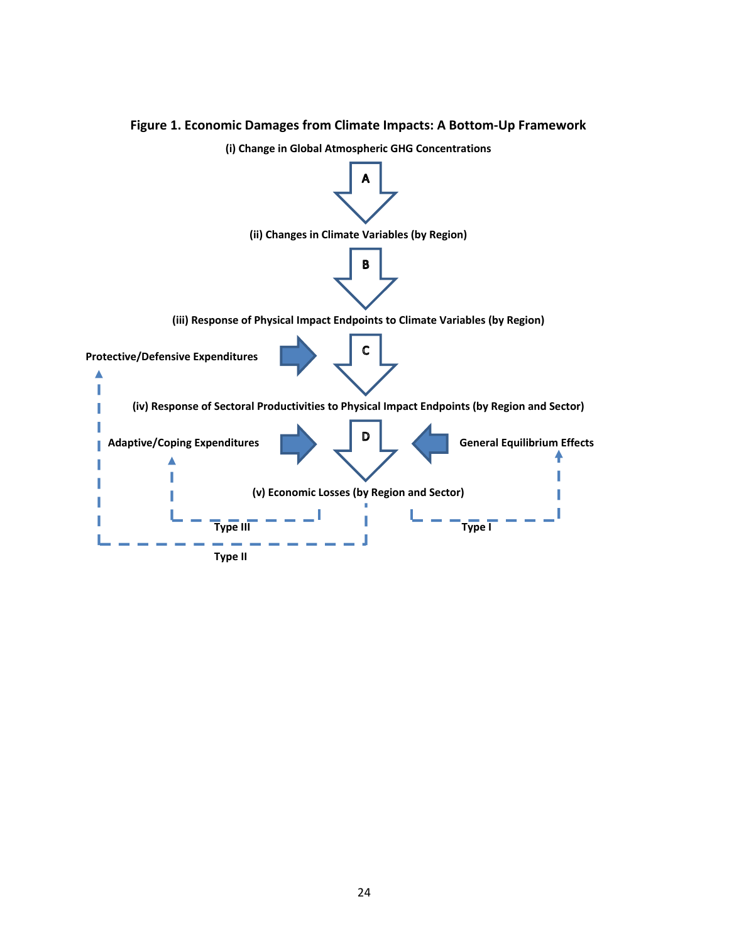

## **Figure 1. Economic Damages from Climate Impacts: A Bottom-Up Framework**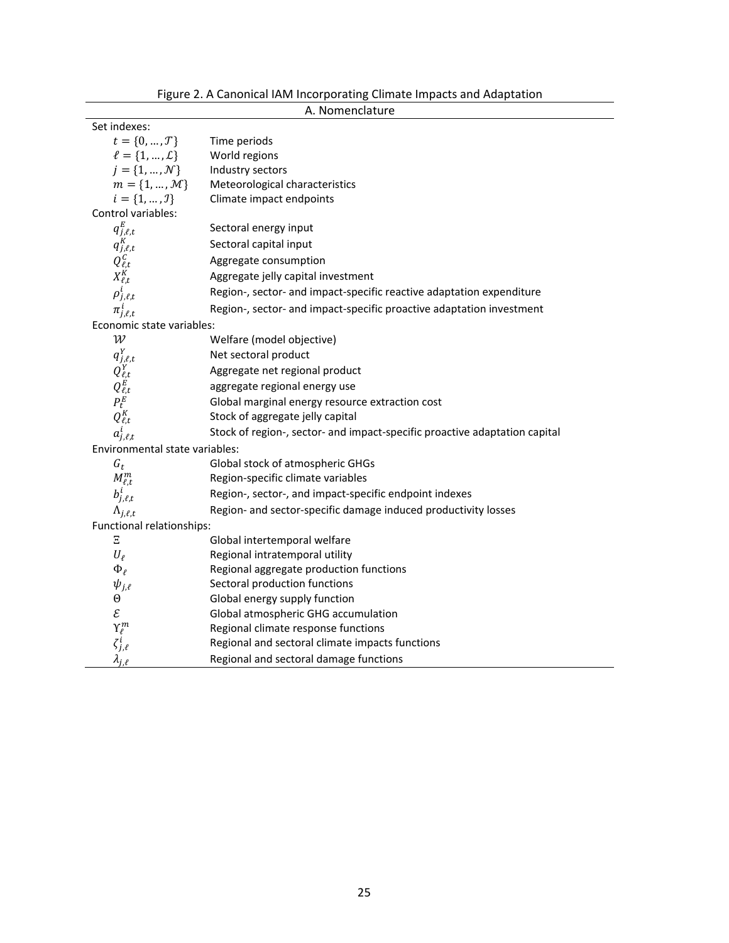| A. Nomenclature                                                     |                                                                            |  |  |  |
|---------------------------------------------------------------------|----------------------------------------------------------------------------|--|--|--|
| Set indexes:                                                        |                                                                            |  |  |  |
| $t=\{0,\ldots,\mathcal{T}\}$                                        | Time periods                                                               |  |  |  |
| $l = \{1, , L\}$                                                    | World regions                                                              |  |  |  |
| $j = \{1, , \mathcal{N}\}\$                                         | Industry sectors                                                           |  |  |  |
| $m = \{1, , M\}$                                                    | Meteorological characteristics                                             |  |  |  |
| $i = \{1, , J\}$                                                    | Climate impact endpoints                                                   |  |  |  |
| Control variables:                                                  |                                                                            |  |  |  |
| $q_{j,\ell,t}^E$                                                    | Sectoral energy input                                                      |  |  |  |
| $q_{j,\ell,t}^K$                                                    | Sectoral capital input                                                     |  |  |  |
|                                                                     | Aggregate consumption                                                      |  |  |  |
| $\overline{Q^{\mathcal{C}}_{\ell,t}}$<br>$X^{\mathcal{K}}_{\ell,t}$ | Aggregate jelly capital investment                                         |  |  |  |
| $\rho^i_{j,\ell,t}$                                                 | Region-, sector- and impact-specific reactive adaptation expenditure       |  |  |  |
| $\pi^i_{j,\ell,t}$                                                  | Region-, sector- and impact-specific proactive adaptation investment       |  |  |  |
| Economic state variables:                                           |                                                                            |  |  |  |
| $\mathcal W$                                                        | Welfare (model objective)                                                  |  |  |  |
| $q_{j,\ell,t}^Y$                                                    | Net sectoral product                                                       |  |  |  |
| $Q^Y_{\ell,t}$                                                      | Aggregate net regional product                                             |  |  |  |
| $Q_{\ell,t}^{\vec{E}}$                                              | aggregate regional energy use                                              |  |  |  |
| $P_t^E$                                                             | Global marginal energy resource extraction cost                            |  |  |  |
| $Q_{\ell,t}^K$                                                      | Stock of aggregate jelly capital                                           |  |  |  |
| $a_{j,\ell,t}^i$                                                    | Stock of region-, sector- and impact-specific proactive adaptation capital |  |  |  |
| Environmental state variables:                                      |                                                                            |  |  |  |
| $G_t$                                                               | Global stock of atmospheric GHGs                                           |  |  |  |
| $M^{m}_{\ell,t}$                                                    | Region-specific climate variables                                          |  |  |  |
| $b^i_{j,\ell,t}$                                                    | Region-, sector-, and impact-specific endpoint indexes                     |  |  |  |
| $\Lambda_{j,\ell,t}$                                                | Region- and sector-specific damage induced productivity losses             |  |  |  |
| Functional relationships:                                           |                                                                            |  |  |  |
| Ξ                                                                   | Global intertemporal welfare                                               |  |  |  |
| $U_{\ell}$                                                          | Regional intratemporal utility                                             |  |  |  |
| $\Phi_{\ell}$                                                       | Regional aggregate production functions                                    |  |  |  |
| $\psi_{j,\ell}$                                                     | Sectoral production functions                                              |  |  |  |
| $\Theta$                                                            | Global energy supply function                                              |  |  |  |
| $\mathcal E$                                                        | Global atmospheric GHG accumulation                                        |  |  |  |
|                                                                     | Regional climate response functions                                        |  |  |  |
| $\gamma_{\ell}^m$<br>$\zeta_{j,\ell}^i$<br>$\lambda_{j,\ell}$       | Regional and sectoral climate impacts functions                            |  |  |  |
|                                                                     | Regional and sectoral damage functions                                     |  |  |  |

Figure 2. A Canonical IAM Incorporating Climate Impacts and Adaptation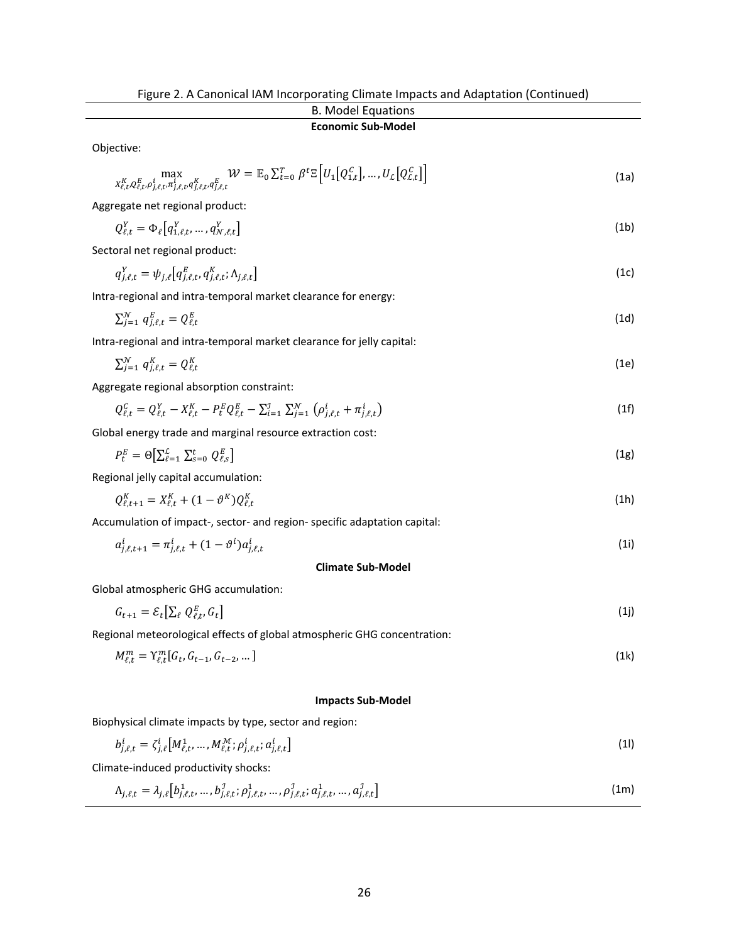| Tigure 2. A Canonical iAivi incorporating Cimiate impacts and Adaptation (Continued)<br><b>B. Model Equations</b>                                                                                                                                      |      |  |
|--------------------------------------------------------------------------------------------------------------------------------------------------------------------------------------------------------------------------------------------------------|------|--|
| <b>Economic Sub-Model</b>                                                                                                                                                                                                                              |      |  |
| Objective:                                                                                                                                                                                                                                             |      |  |
| $\max_{X_{\ell,t}^K, Q_{\ell,t}^E, \rho_{j,\ell,t}^i, \pi_{j,\ell,t}^i, q_{j,\ell,t}^K} \mathcal{W} = \mathbb{E}_0 \textstyle \sum_{t=0}^T \beta^t \mathbb{E}\left[U_1\big[Q_{1,t}^C\big], \dots, U_{\mathcal{L}}\big[Q_{\mathcal{L},t}^C\big]\right]$ | (1a) |  |
| Aggregate net regional product:                                                                                                                                                                                                                        |      |  |
| $Q_{\ell t}^{Y} = \Phi_{\ell}[q_{1 \ell t}^{Y},,q_{N \ell t}^{Y}]$                                                                                                                                                                                     | (1b) |  |
| Sectoral net regional product:                                                                                                                                                                                                                         |      |  |
| $q_{i,\ell,t}^Y = \psi_{i,\ell} \left[ q_{i,\ell,t}^E, q_{i,\ell,t}^K; \Lambda_{i,\ell,t} \right]$                                                                                                                                                     | (1c) |  |
| Intra-regional and intra-temporal market clearance for energy:                                                                                                                                                                                         |      |  |
| $\sum_{i=1}^{N} q_{i,\ell,t}^{E} = Q_{\ell,t}^{E}$                                                                                                                                                                                                     | (1d) |  |
| Intra-regional and intra-temporal market clearance for jelly capital:                                                                                                                                                                                  |      |  |
| $\sum_{i=1}^{N} q_{i,\ell,t}^{K} = Q_{\ell,t}^{K}$                                                                                                                                                                                                     | (1e) |  |
| Aggregate regional absorption constraint:                                                                                                                                                                                                              |      |  |
| $Q_{\ell t}^C = Q_{\ell t}^Y - X_{\ell t}^K - P_{t}^E Q_{\ell t}^E - \sum_{i=1}^J \sum_{i=1}^N (\rho_{i \ell t}^i + \pi_{i \ell t}^i)$                                                                                                                 | (1f) |  |
| Global energy trade and marginal resource extraction cost:                                                                                                                                                                                             |      |  |
| $P_t^E = \Theta[\sum_{\ell=1}^L \sum_{s=0}^t Q_{\ell,s}^E]$                                                                                                                                                                                            | (1g) |  |
| Regional jelly capital accumulation:                                                                                                                                                                                                                   |      |  |
| $Q_{\ell t+1}^K = X_{\ell t}^K + (1 - \vartheta^K) Q_{\ell t}^K$                                                                                                                                                                                       |      |  |
| Accumulation of impact-, sector- and region- specific adaptation capital:                                                                                                                                                                              |      |  |
| $a_{i,\ell,t+1}^i = \pi_{i,\ell,t}^i + (1 - \vartheta^i) a_{i,\ell,t}^i$                                                                                                                                                                               | (1i) |  |
| <b>Climate Sub-Model</b>                                                                                                                                                                                                                               |      |  |
| Global atmospheric GHG accumulation:                                                                                                                                                                                                                   |      |  |
| $G_{t+1} = \mathcal{E}_t[\sum_{\ell} Q_{\ell,t}^E, G_t]$                                                                                                                                                                                               |      |  |
| Regional meteorological effects of global atmospheric GHG concentration:                                                                                                                                                                               |      |  |
| $M_{\ell,t}^m = \Upsilon_{\ell,t}^m[G_t, G_{t-1}, G_{t-2}, \dots]$                                                                                                                                                                                     |      |  |
|                                                                                                                                                                                                                                                        |      |  |
|                                                                                                                                                                                                                                                        |      |  |

## **Impacts Sub-Model**

Biophysical climate impacts by type, sector and region:

$$
b_{j,\ell,t}^i = \zeta_{j,\ell}^i \big[ M_{\ell,t}^1, \dots, M_{\ell,t}^{\mathcal{M}}; \rho_{j,\ell,t}^i; a_{j,\ell,t}^i \big]
$$
(1)

Climate-induced productivity shocks:

$$
\Lambda_{j,\ell,t} = \lambda_{j,\ell} \left[ b_{j,\ell,t}^1, \dots, b_{j,\ell,t}^1; \rho_{j,\ell,t}^1, \dots, \rho_{j,\ell,t}^1; a_{j,\ell,t}^1, \dots, a_{j,\ell,t}^1 \right]
$$
(1m)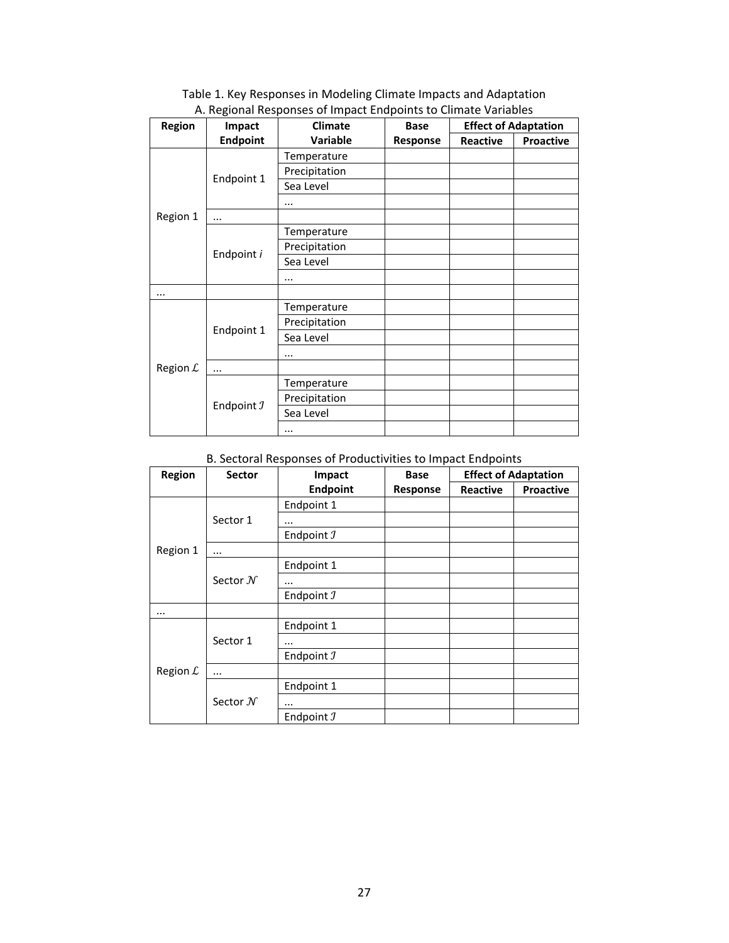| Region     | Impact                | <b>Climate</b> | <b>Base</b> | <b>Effect of Adaptation</b> |           |
|------------|-----------------------|----------------|-------------|-----------------------------|-----------|
|            | <b>Endpoint</b>       | Variable       | Response    | Reactive                    | Proactive |
| Region 1   | Endpoint 1            | Temperature    |             |                             |           |
|            |                       | Precipitation  |             |                             |           |
|            |                       | Sea Level      |             |                             |           |
|            |                       |                |             |                             |           |
|            | $\cdots$              |                |             |                             |           |
|            | Endpoint i            | Temperature    |             |                             |           |
|            |                       | Precipitation  |             |                             |           |
|            |                       | Sea Level      |             |                             |           |
|            |                       |                |             |                             |           |
|            |                       |                |             |                             |           |
|            | Endpoint 1            | Temperature    |             |                             |           |
| Region $L$ |                       | Precipitation  |             |                             |           |
|            |                       | Sea Level      |             |                             |           |
|            |                       |                |             |                             |           |
|            |                       |                |             |                             |           |
|            | Endpoint $\mathcal I$ | Temperature    |             |                             |           |
|            |                       | Precipitation  |             |                             |           |
|            |                       | Sea Level      |             |                             |           |
|            |                       |                |             |                             |           |

Table 1. Key Responses in Modeling Climate Impacts and Adaptation A. Regional Responses of Impact Endpoints to Climate Variables

# B. Sectoral Responses of Productivities to Impact Endpoints

| Region               | <b>Sector</b>       | Impact                | Base     |                 | <b>Effect of Adaptation</b> |
|----------------------|---------------------|-----------------------|----------|-----------------|-----------------------------|
|                      |                     | <b>Endpoint</b>       | Response | <b>Reactive</b> | <b>Proactive</b>            |
| Region 1             | Sector 1            | Endpoint 1            |          |                 |                             |
|                      |                     | $\cdots$              |          |                 |                             |
|                      |                     | Endpoint J            |          |                 |                             |
|                      | $\cdots$            |                       |          |                 |                             |
|                      | Sector $\mathcal N$ | Endpoint 1            |          |                 |                             |
|                      |                     | $\cdots$              |          |                 |                             |
|                      |                     | Endpoint J            |          |                 |                             |
| $\cdots$             |                     |                       |          |                 |                             |
| Region $\mathcal{L}$ | Sector 1            | Endpoint 1            |          |                 |                             |
|                      |                     | $\cdots$              |          |                 |                             |
|                      |                     | Endpoint J            |          |                 |                             |
|                      | $\cdots$            |                       |          |                 |                             |
|                      | Sector $\mathcal N$ | Endpoint 1            |          |                 |                             |
|                      |                     | $\cdots$              |          |                 |                             |
|                      |                     | Endpoint $\mathcal I$ |          |                 |                             |